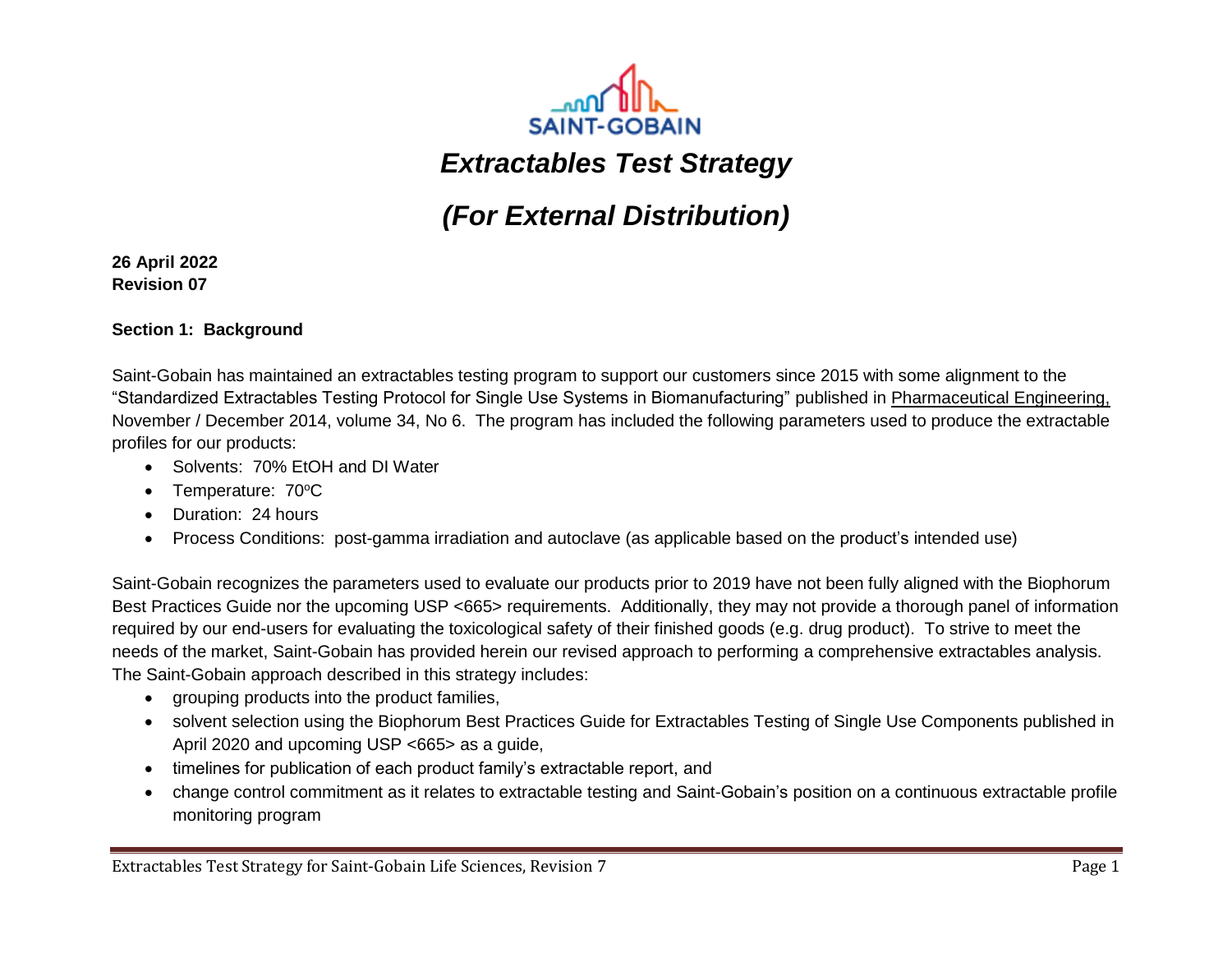

# *Extractables Test Strategy*

# *(For External Distribution)*

**26 April 2022 Revision 07**

#### **Section 1: Background**

Saint-Gobain has maintained an extractables testing program to support our customers since 2015 with some alignment to the "Standardized Extractables Testing Protocol for Single Use Systems in Biomanufacturing" published in Pharmaceutical Engineering, November / December 2014, volume 34, No 6. The program has included the following parameters used to produce the extractable profiles for our products:

- Solvents: 70% EtOH and DI Water
- Temperature: 70°C
- Duration: 24 hours
- Process Conditions: post-gamma irradiation and autoclave (as applicable based on the product's intended use)

Saint-Gobain recognizes the parameters used to evaluate our products prior to 2019 have not been fully aligned with the Biophorum Best Practices Guide nor the upcoming USP <665> requirements. Additionally, they may not provide a thorough panel of information required by our end-users for evaluating the toxicological safety of their finished goods (e.g. drug product). To strive to meet the needs of the market, Saint-Gobain has provided herein our revised approach to performing a comprehensive extractables analysis. The Saint-Gobain approach described in this strategy includes:

- grouping products into the product families,
- solvent selection using the Biophorum Best Practices Guide for Extractables Testing of Single Use Components published in April 2020 and upcoming USP <665> as a guide,
- timelines for publication of each product family's extractable report, and
- change control commitment as it relates to extractable testing and Saint-Gobain's position on a continuous extractable profile monitoring program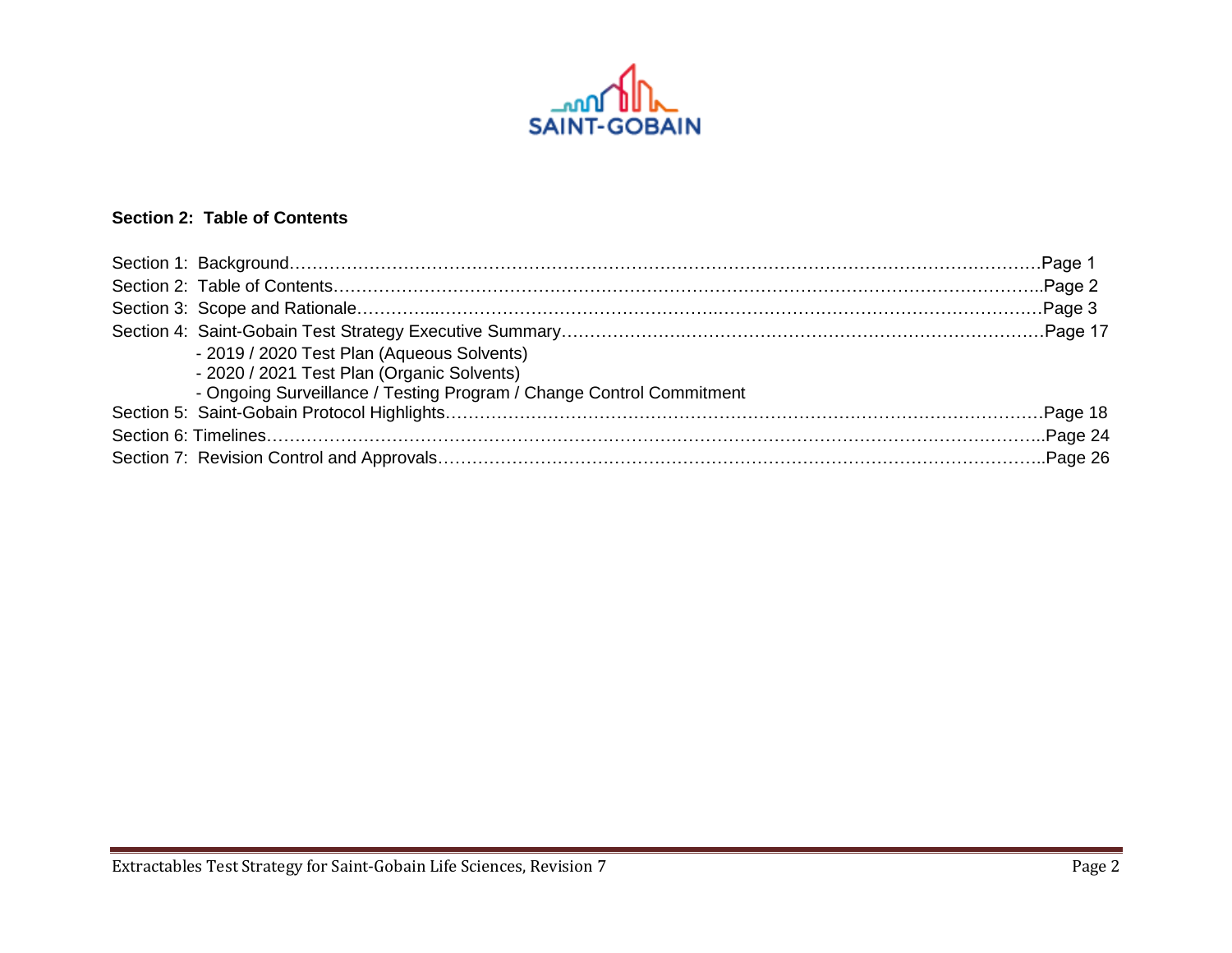

# **Section 2: Table of Contents**

| - 2019 / 2020 Test Plan (Aqueous Solvents)                           |  |
|----------------------------------------------------------------------|--|
| - 2020 / 2021 Test Plan (Organic Solvents)                           |  |
| - Ongoing Surveillance / Testing Program / Change Control Commitment |  |
|                                                                      |  |
|                                                                      |  |
|                                                                      |  |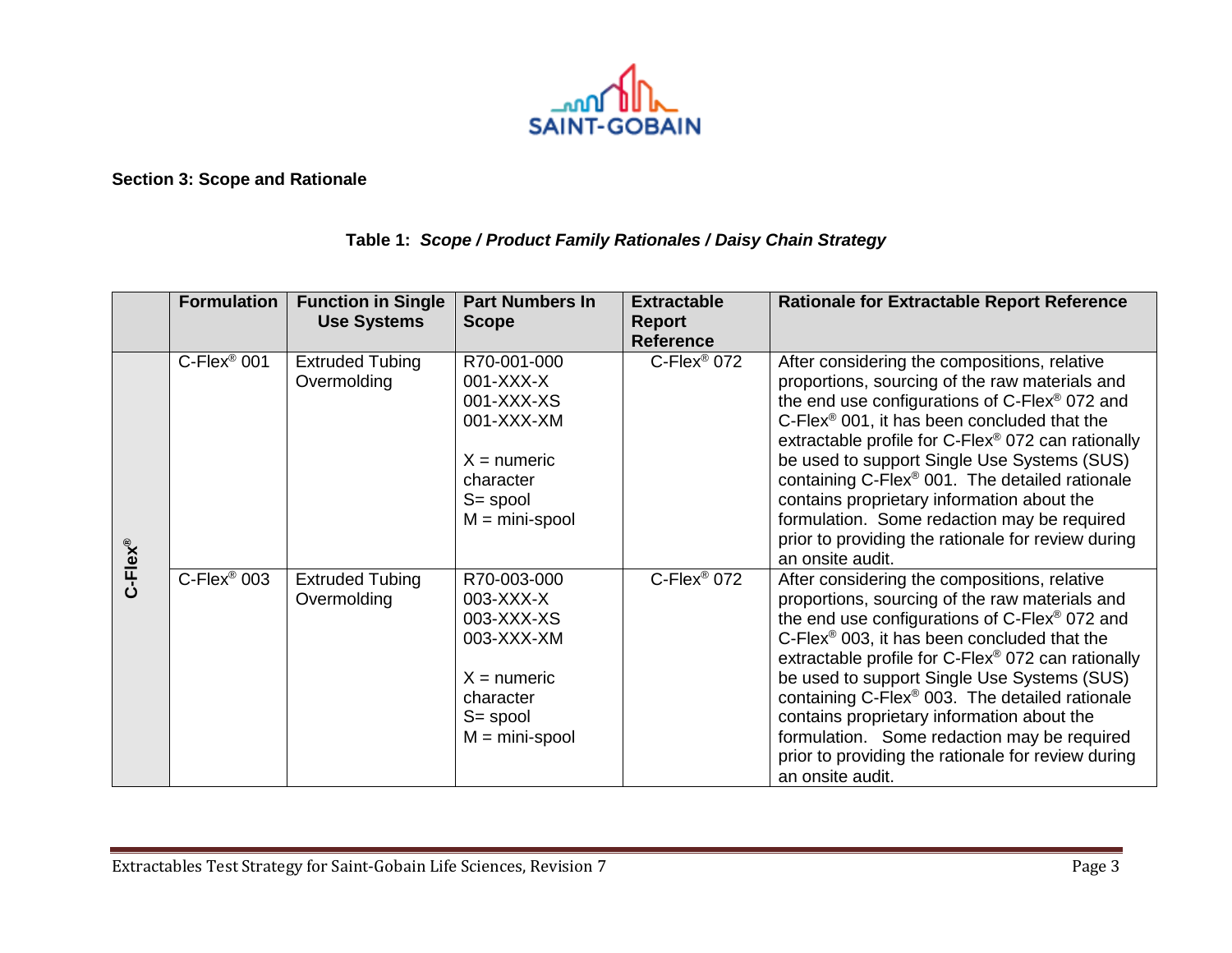

**Section 3: Scope and Rationale**

## **Table 1:** *Scope / Product Family Rationales / Daisy Chain Strategy*

|            | <b>Formulation</b> | <b>Function in Single</b><br><b>Use Systems</b> | <b>Part Numbers In</b><br><b>Scope</b>                                                                                 | <b>Extractable</b><br>Report<br><b>Reference</b> | <b>Rationale for Extractable Report Reference</b>                                                                                                                                                                                                                                                                                                                                                                                                                                                                                                                               |
|------------|--------------------|-------------------------------------------------|------------------------------------------------------------------------------------------------------------------------|--------------------------------------------------|---------------------------------------------------------------------------------------------------------------------------------------------------------------------------------------------------------------------------------------------------------------------------------------------------------------------------------------------------------------------------------------------------------------------------------------------------------------------------------------------------------------------------------------------------------------------------------|
| $C$ -Flex® | $C$ -Flex® 001     | <b>Extruded Tubing</b><br>Overmolding           | R70-001-000<br>001-XXX-X<br>001-XXX-XS<br>001-XXX-XM<br>$X =$ numeric<br>character<br>$S = spool$<br>$M = mini$ -spool | $C$ -Flex® 072                                   | After considering the compositions, relative<br>proportions, sourcing of the raw materials and<br>the end use configurations of C-Flex <sup>®</sup> 072 and<br>$C$ -Flex <sup>®</sup> 001, it has been concluded that the<br>extractable profile for C-Flex <sup>®</sup> 072 can rationally<br>be used to support Single Use Systems (SUS)<br>containing C-Flex <sup>®</sup> 001. The detailed rationale<br>contains proprietary information about the<br>formulation. Some redaction may be required<br>prior to providing the rationale for review during<br>an onsite audit. |
|            | $C$ -Flex® 003     | <b>Extruded Tubing</b><br>Overmolding           | R70-003-000<br>003-XXX-X<br>003-XXX-XS<br>003-XXX-XM<br>$X =$ numeric<br>character<br>$S = spool$<br>$M = mini$ -spool | $C$ -Flex® 072                                   | After considering the compositions, relative<br>proportions, sourcing of the raw materials and<br>the end use configurations of C-Flex® 072 and<br>C-Flex <sup>®</sup> 003, it has been concluded that the<br>extractable profile for C-Flex® 072 can rationally<br>be used to support Single Use Systems (SUS)<br>containing C-Flex <sup>®</sup> 003. The detailed rationale<br>contains proprietary information about the<br>formulation. Some redaction may be required<br>prior to providing the rationale for review during<br>an onsite audit.                            |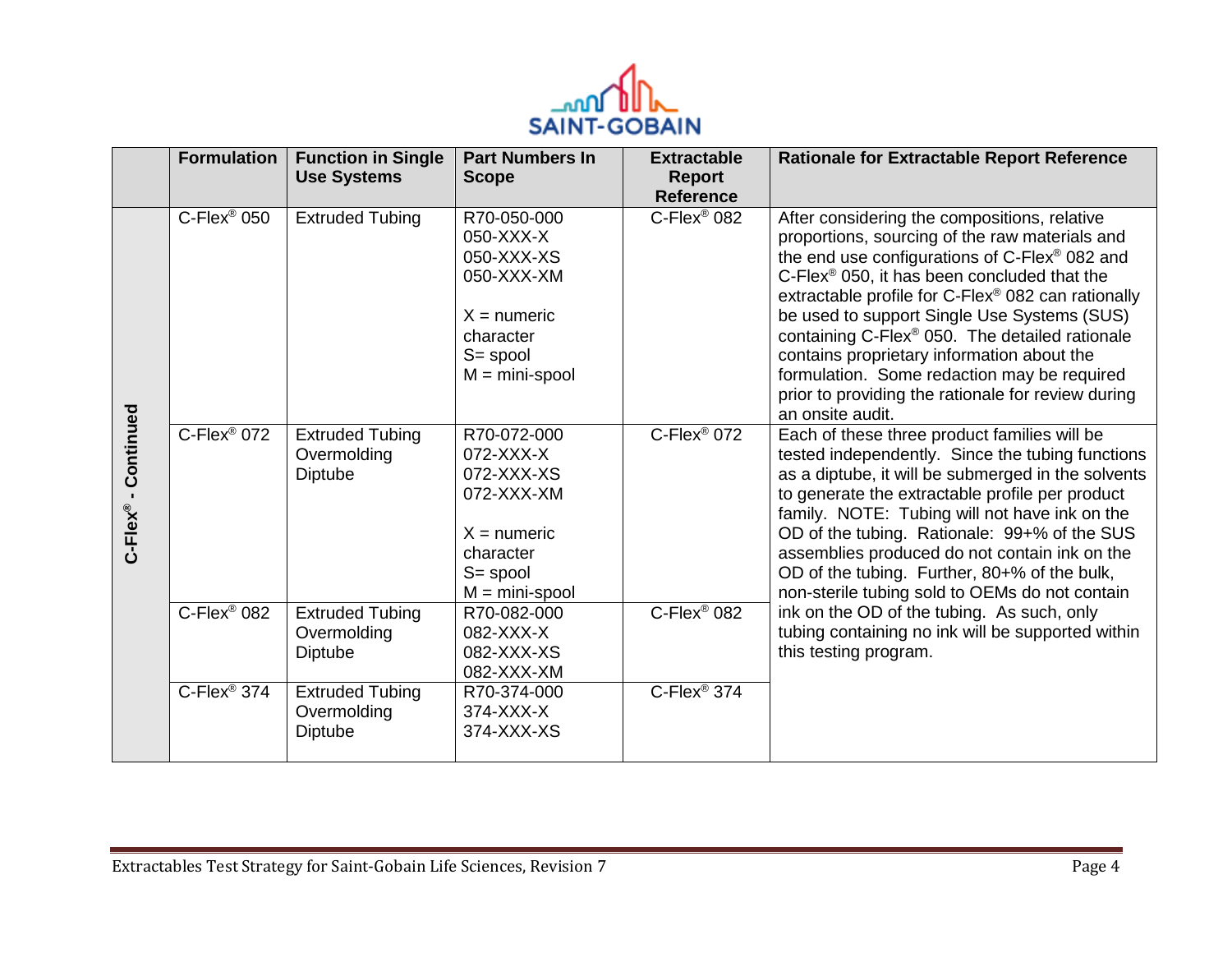

|                       | <b>Formulation</b>         | <b>Function in Single</b><br><b>Use Systems</b>         | <b>Part Numbers In</b><br><b>Scope</b>                                                                                 | <b>Extractable</b><br><b>Report</b><br><b>Reference</b> | <b>Rationale for Extractable Report Reference</b>                                                                                                                                                                                                                                                                                                                                                                                                                                                                                                    |
|-----------------------|----------------------------|---------------------------------------------------------|------------------------------------------------------------------------------------------------------------------------|---------------------------------------------------------|------------------------------------------------------------------------------------------------------------------------------------------------------------------------------------------------------------------------------------------------------------------------------------------------------------------------------------------------------------------------------------------------------------------------------------------------------------------------------------------------------------------------------------------------------|
|                       | $C$ -Flex® 050             | <b>Extruded Tubing</b>                                  | R70-050-000<br>050-XXX-X<br>050-XXX-XS<br>050-XXX-XM<br>$X =$ numeric<br>character<br>$S = spool$<br>$M = mini$ -spool | C-Flex <sup>®</sup> 082                                 | After considering the compositions, relative<br>proportions, sourcing of the raw materials and<br>the end use configurations of C-Flex® 082 and<br>C-Flex <sup>®</sup> 050, it has been concluded that the<br>extractable profile for C-Flex® 082 can rationally<br>be used to support Single Use Systems (SUS)<br>containing C-Flex <sup>®</sup> 050. The detailed rationale<br>contains proprietary information about the<br>formulation. Some redaction may be required<br>prior to providing the rationale for review during<br>an onsite audit. |
| Continued<br>C-Flex®- | $C$ -Flex <sup>®</sup> 072 | <b>Extruded Tubing</b><br>Overmolding<br>Diptube        | R70-072-000<br>072-XXX-X<br>072-XXX-XS<br>072-XXX-XM<br>$X =$ numeric<br>character<br>$S = spool$<br>$M = min$ -spool  | $C$ -Flex <sup>®</sup> 072                              | Each of these three product families will be<br>tested independently. Since the tubing functions<br>as a diptube, it will be submerged in the solvents<br>to generate the extractable profile per product<br>family. NOTE: Tubing will not have ink on the<br>OD of the tubing. Rationale: 99+% of the SUS<br>assemblies produced do not contain ink on the<br>OD of the tubing. Further, 80+% of the bulk,<br>non-sterile tubing sold to OEMs do not contain                                                                                        |
|                       | $C$ -Flex <sup>®</sup> 082 | <b>Extruded Tubing</b><br>Overmolding<br><b>Diptube</b> | R70-082-000<br>082-XXX-X<br>082-XXX-XS<br>082-XXX-XM                                                                   | $C$ -Flex <sup>®</sup> 082                              | ink on the OD of the tubing. As such, only<br>tubing containing no ink will be supported within<br>this testing program.                                                                                                                                                                                                                                                                                                                                                                                                                             |
|                       | $C$ -Flex <sup>®</sup> 374 | <b>Extruded Tubing</b><br>Overmolding<br>Diptube        | R70-374-000<br>374-XXX-X<br>374-XXX-XS                                                                                 | $C$ -Flex <sup>®</sup> 374                              |                                                                                                                                                                                                                                                                                                                                                                                                                                                                                                                                                      |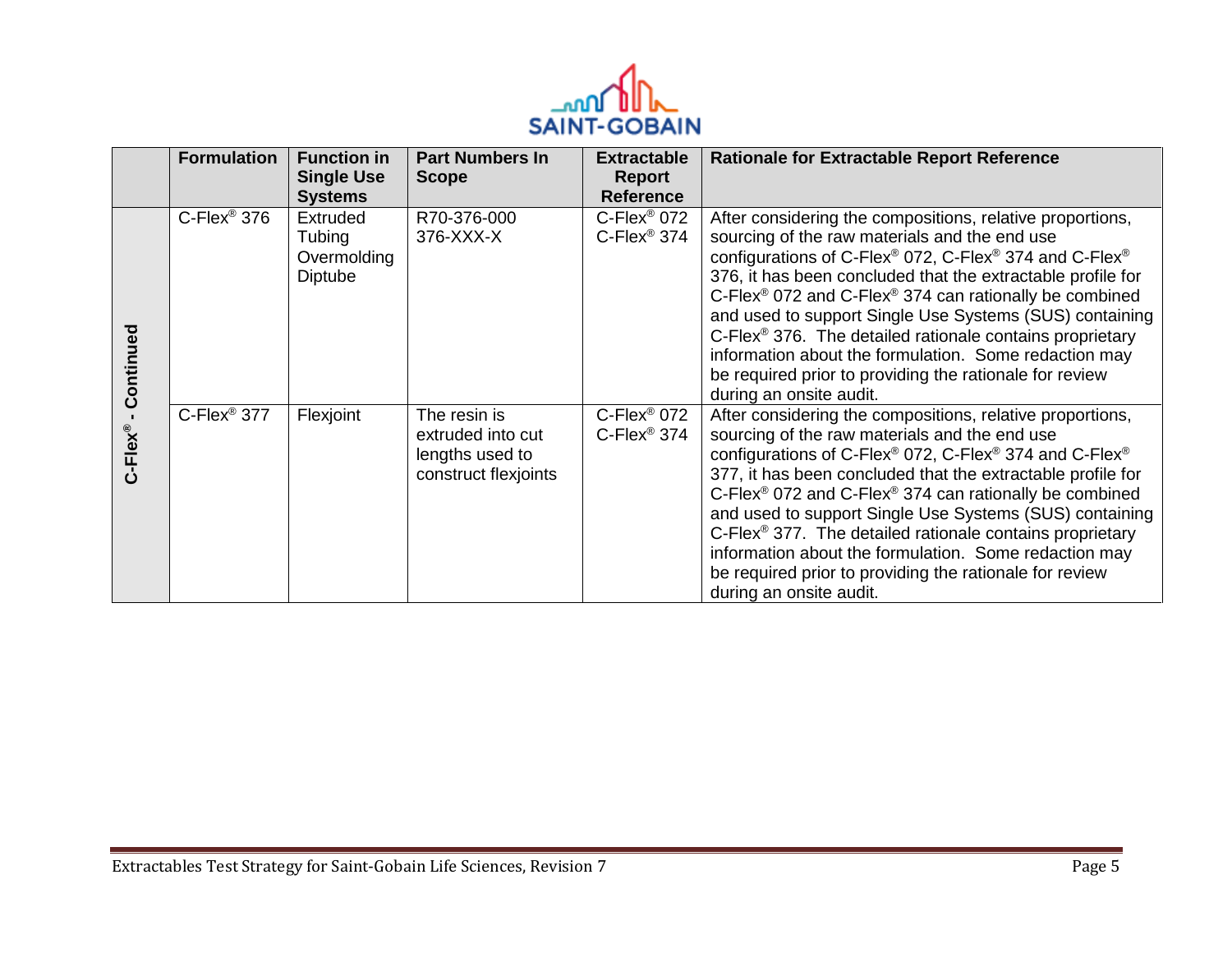

|           | <b>Formulation</b>         | <b>Function in</b><br><b>Single Use</b>             | <b>Part Numbers In</b><br><b>Scope</b>                                       | <b>Extractable</b><br><b>Report</b>                   | <b>Rationale for Extractable Report Reference</b>                                                                                                                                                                                                                                                                                                                                                                                                                                                                                                                                                                                              |
|-----------|----------------------------|-----------------------------------------------------|------------------------------------------------------------------------------|-------------------------------------------------------|------------------------------------------------------------------------------------------------------------------------------------------------------------------------------------------------------------------------------------------------------------------------------------------------------------------------------------------------------------------------------------------------------------------------------------------------------------------------------------------------------------------------------------------------------------------------------------------------------------------------------------------------|
|           |                            | <b>Systems</b>                                      |                                                                              | <b>Reference</b>                                      |                                                                                                                                                                                                                                                                                                                                                                                                                                                                                                                                                                                                                                                |
| Continued | $C$ -Flex <sup>®</sup> 376 | Extruded<br>Tubing<br>Overmolding<br><b>Diptube</b> | R70-376-000<br>376-XXX-X                                                     | C-Flex <sup>®</sup> 072<br>$C$ -Flex <sup>®</sup> 374 | After considering the compositions, relative proportions,<br>sourcing of the raw materials and the end use<br>configurations of C-Flex® 072, C-Flex® 374 and C-Flex®<br>376, it has been concluded that the extractable profile for<br>C-Flex <sup>®</sup> 072 and C-Flex <sup>®</sup> 374 can rationally be combined<br>and used to support Single Use Systems (SUS) containing<br>$C$ -Flex <sup>®</sup> 376. The detailed rationale contains proprietary<br>information about the formulation. Some redaction may<br>be required prior to providing the rationale for review<br>during an onsite audit.                                     |
| C-Flex®   | C-Flex <sup>®</sup> 377    | Flexjoint                                           | The resin is<br>extruded into cut<br>lengths used to<br>construct flexjoints | $C$ -Flex® 072<br>$C$ -Flex <sup>®</sup> 374          | After considering the compositions, relative proportions,<br>sourcing of the raw materials and the end use<br>configurations of C-Flex <sup>®</sup> 072, C-Flex <sup>®</sup> 374 and C-Flex <sup>®</sup><br>377, it has been concluded that the extractable profile for<br>C-Flex <sup>®</sup> 072 and C-Flex <sup>®</sup> 374 can rationally be combined<br>and used to support Single Use Systems (SUS) containing<br>$C$ -Flex <sup>®</sup> 377. The detailed rationale contains proprietary<br>information about the formulation. Some redaction may<br>be required prior to providing the rationale for review<br>during an onsite audit. |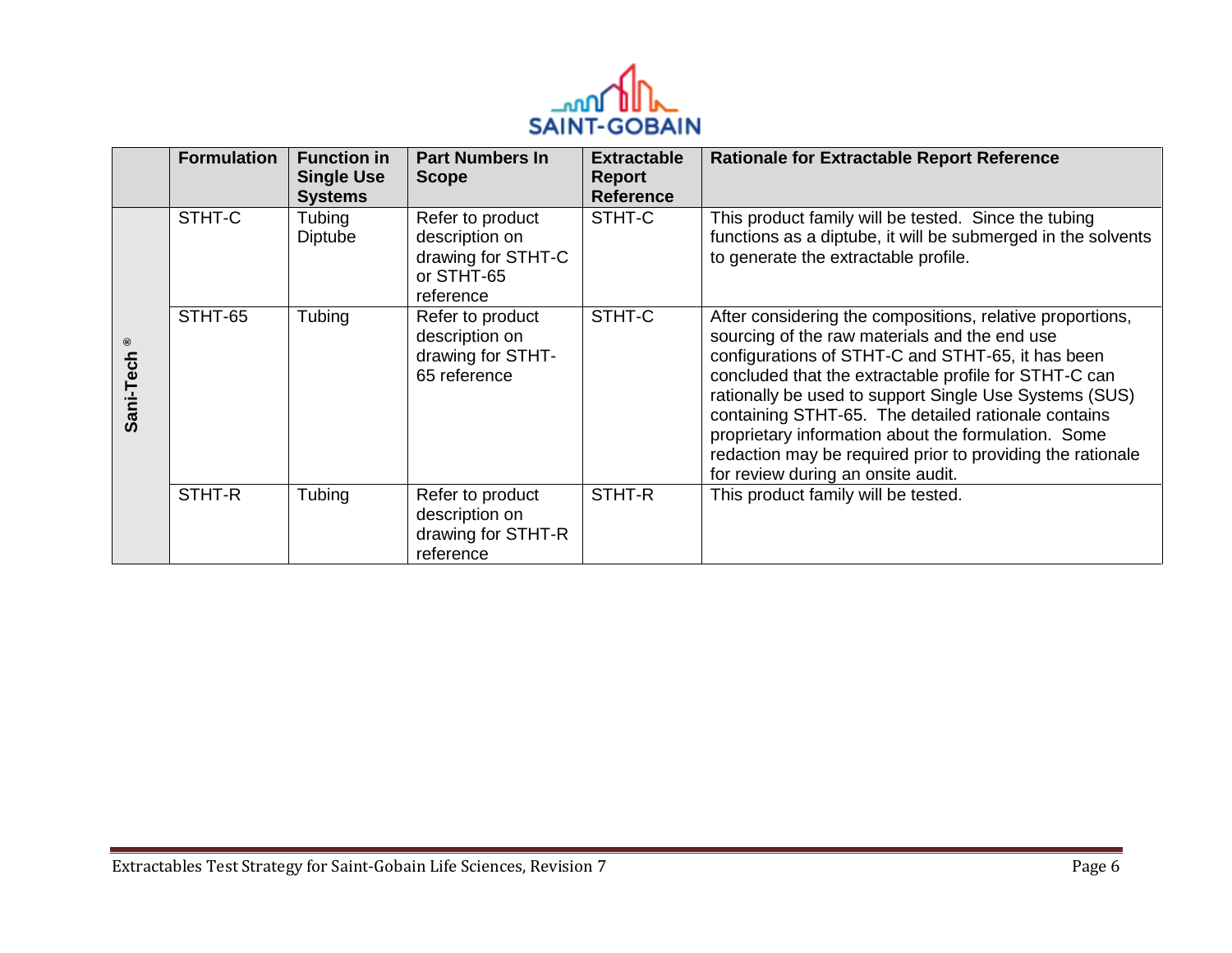

|                            | <b>Formulation</b> | <b>Function in</b><br><b>Single Use</b><br><b>Systems</b> | <b>Part Numbers In</b><br><b>Scope</b>                                              | <b>Extractable</b><br>Report<br><b>Reference</b> | <b>Rationale for Extractable Report Reference</b>                                                                                                                                                                                                                                                                                                                                                                                                                                                    |
|----------------------------|--------------------|-----------------------------------------------------------|-------------------------------------------------------------------------------------|--------------------------------------------------|------------------------------------------------------------------------------------------------------------------------------------------------------------------------------------------------------------------------------------------------------------------------------------------------------------------------------------------------------------------------------------------------------------------------------------------------------------------------------------------------------|
|                            | STHT-C             | Tubing<br><b>Diptube</b>                                  | Refer to product<br>description on<br>drawing for STHT-C<br>or STHT-65<br>reference | STHT-C                                           | This product family will be tested. Since the tubing<br>functions as a diptube, it will be submerged in the solvents<br>to generate the extractable profile.                                                                                                                                                                                                                                                                                                                                         |
| $^\copyright$<br>Sani-Tech | STHT-65            | Tubing                                                    | Refer to product<br>description on<br>drawing for STHT-<br>65 reference             | STHT-C                                           | After considering the compositions, relative proportions,<br>sourcing of the raw materials and the end use<br>configurations of STHT-C and STHT-65, it has been<br>concluded that the extractable profile for STHT-C can<br>rationally be used to support Single Use Systems (SUS)<br>containing STHT-65. The detailed rationale contains<br>proprietary information about the formulation. Some<br>redaction may be required prior to providing the rationale<br>for review during an onsite audit. |
|                            | STHT-R             | Tubing                                                    | Refer to product<br>description on<br>drawing for STHT-R<br>reference               | STHT-R                                           | This product family will be tested.                                                                                                                                                                                                                                                                                                                                                                                                                                                                  |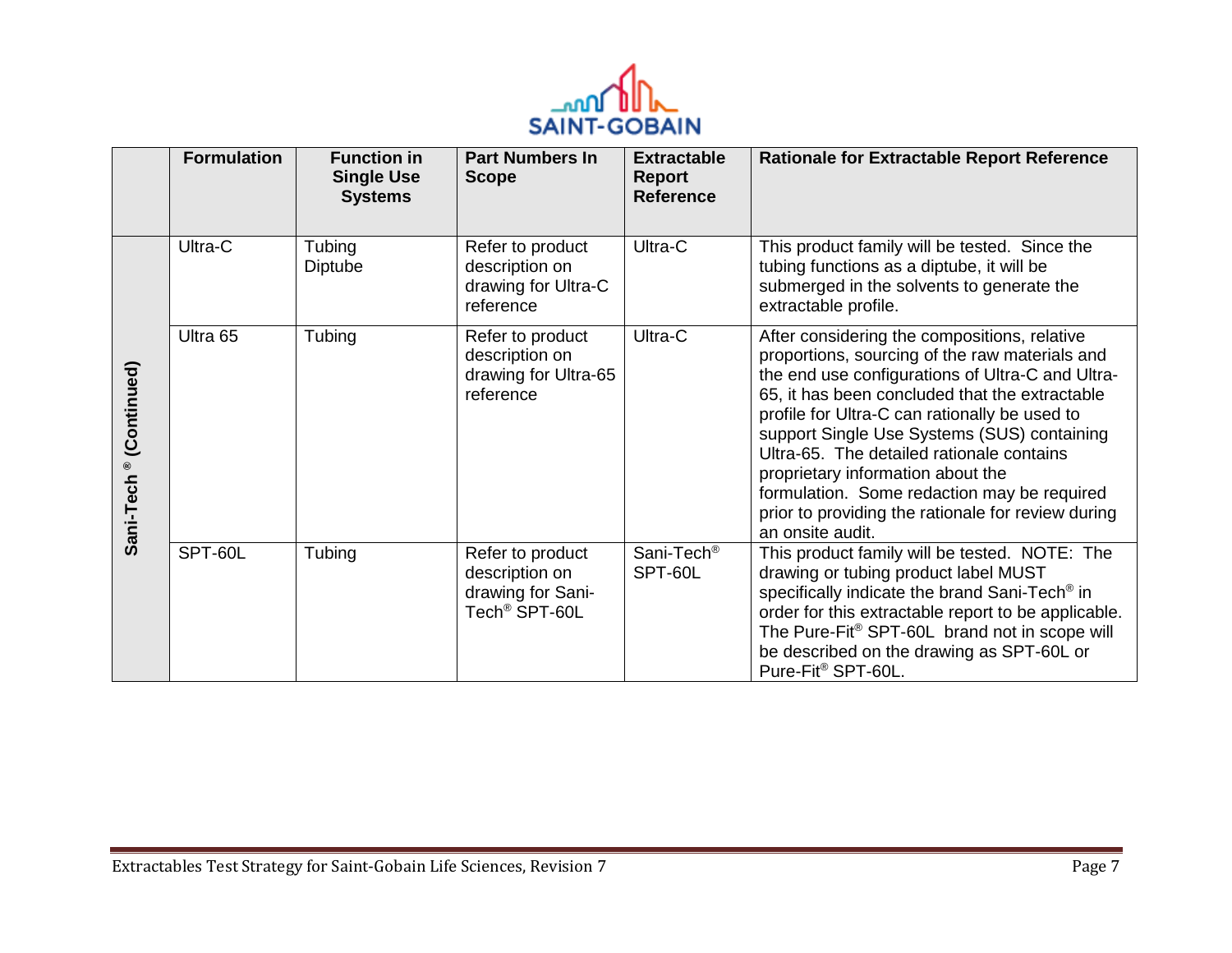

|                                    | <b>Formulation</b> | <b>Function in</b><br><b>Single Use</b><br><b>Systems</b> | <b>Part Numbers In</b><br><b>Scope</b>                                               | <b>Extractable</b><br><b>Report</b><br><b>Reference</b> | <b>Rationale for Extractable Report Reference</b>                                                                                                                                                                                                                                                                                                                                                                                                                                                               |
|------------------------------------|--------------------|-----------------------------------------------------------|--------------------------------------------------------------------------------------|---------------------------------------------------------|-----------------------------------------------------------------------------------------------------------------------------------------------------------------------------------------------------------------------------------------------------------------------------------------------------------------------------------------------------------------------------------------------------------------------------------------------------------------------------------------------------------------|
|                                    | Ultra-C            | Tubing<br>Diptube                                         | Refer to product<br>description on<br>drawing for Ultra-C<br>reference               | Ultra-C                                                 | This product family will be tested. Since the<br>tubing functions as a diptube, it will be<br>submerged in the solvents to generate the<br>extractable profile.                                                                                                                                                                                                                                                                                                                                                 |
| Sani-Tech <sup>®</sup> (Continued) | Ultra 65           | Tubing                                                    | Refer to product<br>description on<br>drawing for Ultra-65<br>reference              | Ultra-C                                                 | After considering the compositions, relative<br>proportions, sourcing of the raw materials and<br>the end use configurations of Ultra-C and Ultra-<br>65, it has been concluded that the extractable<br>profile for Ultra-C can rationally be used to<br>support Single Use Systems (SUS) containing<br>Ultra-65. The detailed rationale contains<br>proprietary information about the<br>formulation. Some redaction may be required<br>prior to providing the rationale for review during<br>an onsite audit. |
|                                    | SPT-60L            | Tubing                                                    | Refer to product<br>description on<br>drawing for Sani-<br>Tech <sup>®</sup> SPT-60L | Sani-Tech <sup>®</sup><br>SPT-60L                       | This product family will be tested. NOTE: The<br>drawing or tubing product label MUST<br>specifically indicate the brand Sani-Tech <sup>®</sup> in<br>order for this extractable report to be applicable.<br>The Pure-Fit® SPT-60L brand not in scope will<br>be described on the drawing as SPT-60L or<br>Pure-Fit® SPT-60L.                                                                                                                                                                                   |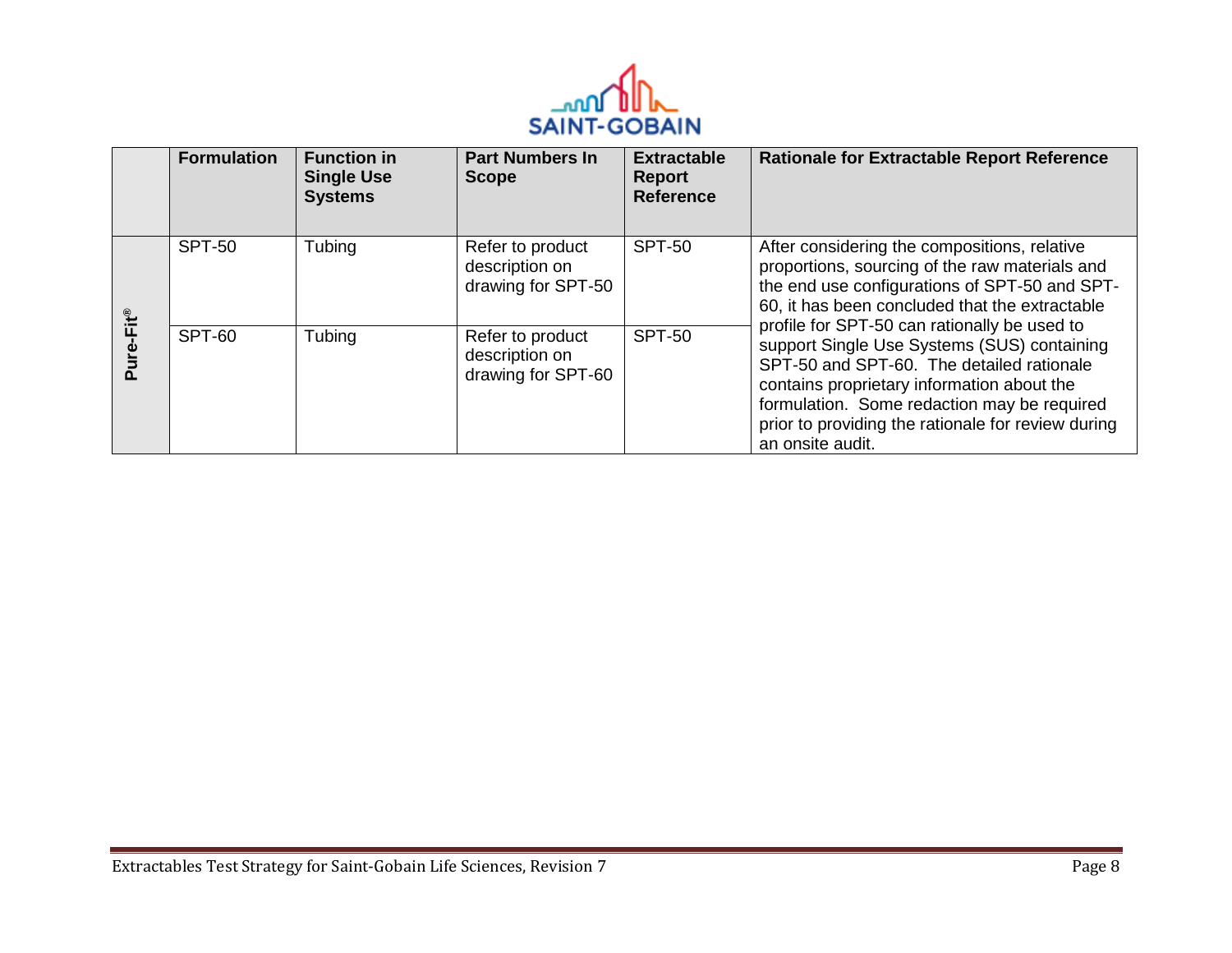

|                    | <b>Formulation</b> | <b>Function in</b><br><b>Single Use</b><br><b>Systems</b> | <b>Part Numbers In</b><br><b>Scope</b>                   | <b>Extractable</b><br>Report<br><b>Reference</b> | <b>Rationale for Extractable Report Reference</b>                                                                                                                                                                                                                                                               |
|--------------------|--------------------|-----------------------------------------------------------|----------------------------------------------------------|--------------------------------------------------|-----------------------------------------------------------------------------------------------------------------------------------------------------------------------------------------------------------------------------------------------------------------------------------------------------------------|
| $-Fit^{\circledR}$ | <b>SPT-50</b>      | Tubing                                                    | Refer to product<br>description on<br>drawing for SPT-50 | <b>SPT-50</b>                                    | After considering the compositions, relative<br>proportions, sourcing of the raw materials and<br>the end use configurations of SPT-50 and SPT-<br>60, it has been concluded that the extractable                                                                                                               |
| ف                  | SPT-60             | Tubing                                                    | Refer to product<br>description on<br>drawing for SPT-60 | <b>SPT-50</b>                                    | profile for SPT-50 can rationally be used to<br>support Single Use Systems (SUS) containing<br>SPT-50 and SPT-60. The detailed rationale<br>contains proprietary information about the<br>formulation. Some redaction may be required<br>prior to providing the rationale for review during<br>an onsite audit. |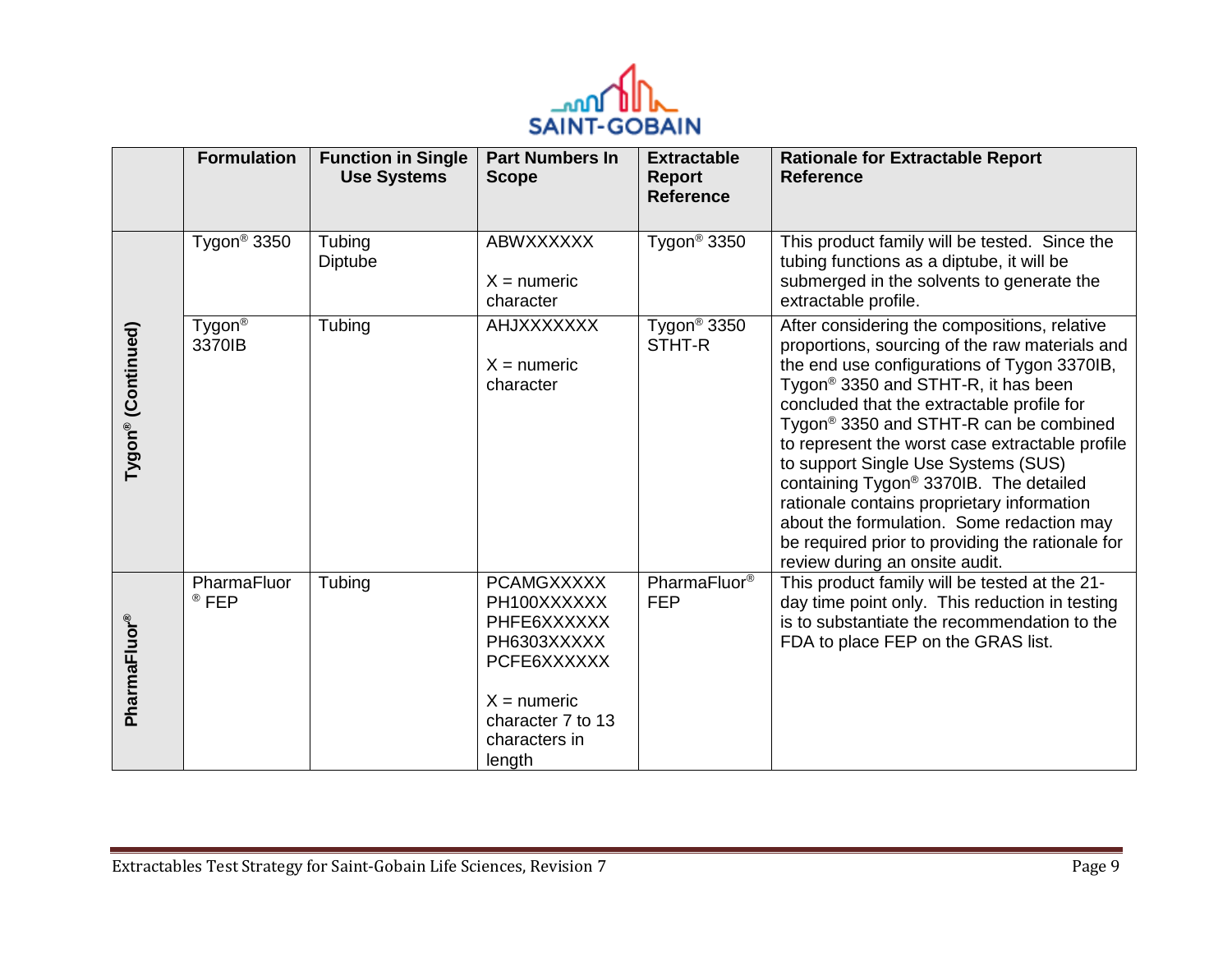

|                    | <b>Formulation</b>              | <b>Function in Single</b><br><b>Use Systems</b> | <b>Part Numbers In</b><br><b>Scope</b>                                                                                                         | <b>Extractable</b><br>Report<br><b>Reference</b> | <b>Rationale for Extractable Report</b><br><b>Reference</b>                                                                                                                                                                                                                                                                                                                                                                                                                                                                                                                                                                           |
|--------------------|---------------------------------|-------------------------------------------------|------------------------------------------------------------------------------------------------------------------------------------------------|--------------------------------------------------|---------------------------------------------------------------------------------------------------------------------------------------------------------------------------------------------------------------------------------------------------------------------------------------------------------------------------------------------------------------------------------------------------------------------------------------------------------------------------------------------------------------------------------------------------------------------------------------------------------------------------------------|
|                    | Tygon <sup>®</sup> 3350         | Tubing<br>Diptube                               | ABWXXXXXX<br>$X =$ numeric<br>character                                                                                                        | Tygon <sup>®</sup> 3350                          | This product family will be tested. Since the<br>tubing functions as a diptube, it will be<br>submerged in the solvents to generate the<br>extractable profile.                                                                                                                                                                                                                                                                                                                                                                                                                                                                       |
| Tygon® (Continued) | Tygon <sup>®</sup><br>3370IB    | Tubing                                          | <b>AHJXXXXXXX</b><br>$X =$ numeric<br>character                                                                                                | Tygon <sup>®</sup> 3350<br>STHT-R                | After considering the compositions, relative<br>proportions, sourcing of the raw materials and<br>the end use configurations of Tygon 3370IB,<br>Tygon <sup>®</sup> 3350 and STHT-R, it has been<br>concluded that the extractable profile for<br>Tygon <sup>®</sup> 3350 and STHT-R can be combined<br>to represent the worst case extractable profile<br>to support Single Use Systems (SUS)<br>containing Tygon <sup>®</sup> 3370IB. The detailed<br>rationale contains proprietary information<br>about the formulation. Some redaction may<br>be required prior to providing the rationale for<br>review during an onsite audit. |
| PharmaFluor®       | PharmaFluor<br><sup>®</sup> FEP | Tubing                                          | <b>PCAMGXXXXX</b><br>PH100XXXXXX<br>PHFE6XXXXXX<br>PH6303XXXXX<br>PCFE6XXXXXX<br>$X =$ numeric<br>character 7 to 13<br>characters in<br>length | PharmaFluor <sup>®</sup><br><b>FEP</b>           | This product family will be tested at the 21-<br>day time point only. This reduction in testing<br>is to substantiate the recommendation to the<br>FDA to place FEP on the GRAS list.                                                                                                                                                                                                                                                                                                                                                                                                                                                 |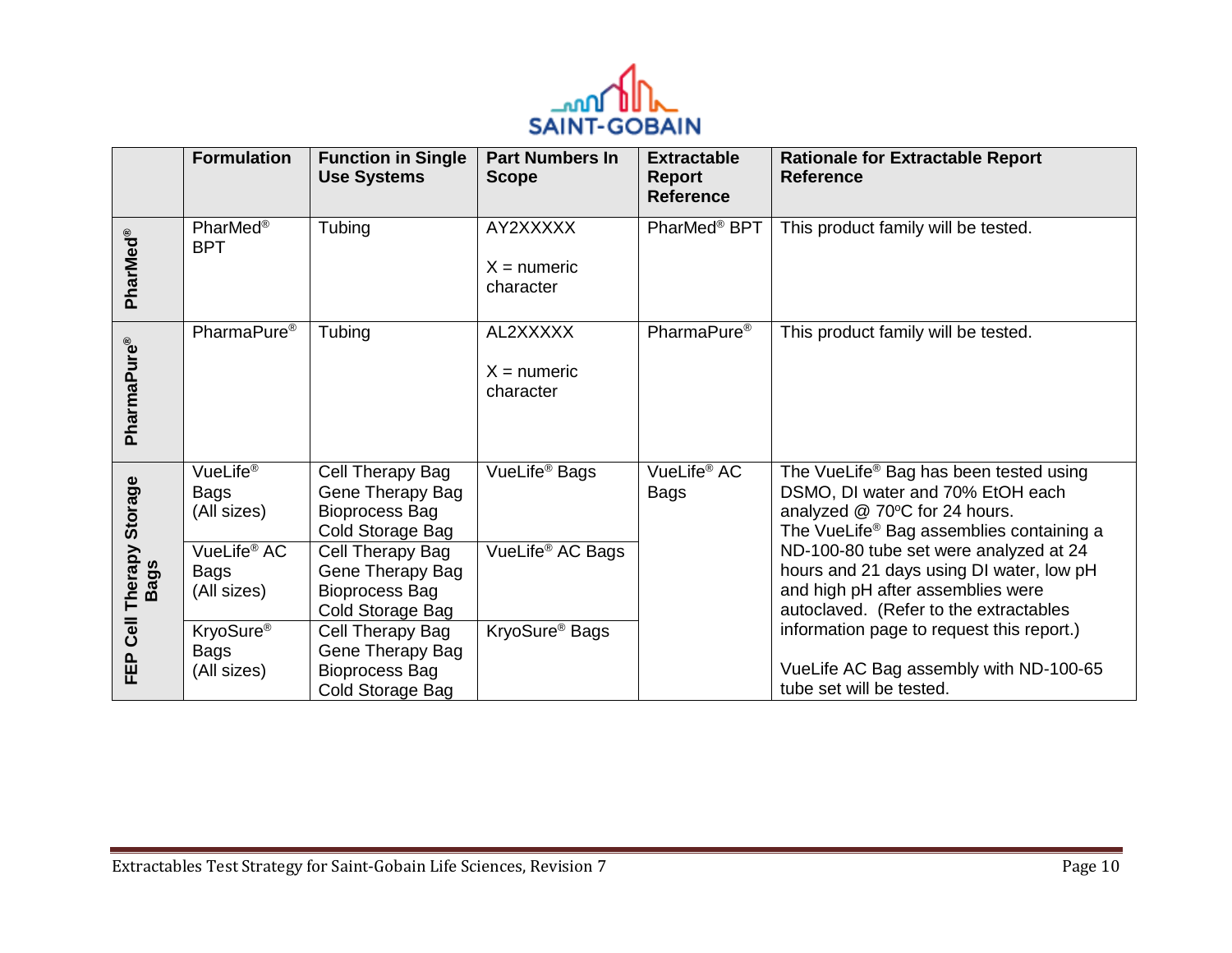

|                                          | <b>Formulation</b>                                                                            | <b>Function in Single</b><br><b>Use Systems</b>                                                                                                                        | <b>Part Numbers In</b><br><b>Scope</b>                    | <b>Extractable</b><br><b>Report</b><br><b>Reference</b> | <b>Rationale for Extractable Report</b><br><b>Reference</b>                                                                                                                                                                                                                                                                              |
|------------------------------------------|-----------------------------------------------------------------------------------------------|------------------------------------------------------------------------------------------------------------------------------------------------------------------------|-----------------------------------------------------------|---------------------------------------------------------|------------------------------------------------------------------------------------------------------------------------------------------------------------------------------------------------------------------------------------------------------------------------------------------------------------------------------------------|
| PharMed®                                 | PharMed <sup>®</sup><br><b>BPT</b>                                                            | Tubing                                                                                                                                                                 | AY2XXXXX<br>$X =$ numeric<br>character                    | PharMed <sup>®</sup> BPT                                | This product family will be tested.                                                                                                                                                                                                                                                                                                      |
| PharmaPure®                              | PharmaPure <sup>®</sup>                                                                       | Tubing                                                                                                                                                                 | AL2XXXXX<br>$X =$ numeric<br>character                    | PharmaPure <sup>®</sup>                                 | This product family will be tested.                                                                                                                                                                                                                                                                                                      |
| <b>Storage</b><br>Therapy<br><b>Bags</b> | VueLife <sup>®</sup><br>Bags<br>(All sizes)<br>VueLife <sup>®</sup> AC<br>Bags<br>(All sizes) | Cell Therapy Bag<br>Gene Therapy Bag<br><b>Bioprocess Bag</b><br>Cold Storage Bag<br>Cell Therapy Bag<br>Gene Therapy Bag<br><b>Bioprocess Bag</b><br>Cold Storage Bag | VueLife <sup>®</sup> Bags<br>VueLife <sup>®</sup> AC Bags | VueLife <sup>®</sup> AC<br>Bags                         | The VueLife® Bag has been tested using<br>DSMO, DI water and 70% EtOH each<br>analyzed @ 70°C for 24 hours.<br>The VueLife <sup>®</sup> Bag assemblies containing a<br>ND-100-80 tube set were analyzed at 24<br>hours and 21 days using DI water, low pH<br>and high pH after assemblies were<br>autoclaved. (Refer to the extractables |
| Cell<br>EÊP                              | KryoSure <sup>®</sup><br>Bags<br>(All sizes)                                                  | Cell Therapy Bag<br>Gene Therapy Bag<br><b>Bioprocess Bag</b><br>Cold Storage Bag                                                                                      | KryoSure <sup>®</sup> Bags                                |                                                         | information page to request this report.)<br>VueLife AC Bag assembly with ND-100-65<br>tube set will be tested.                                                                                                                                                                                                                          |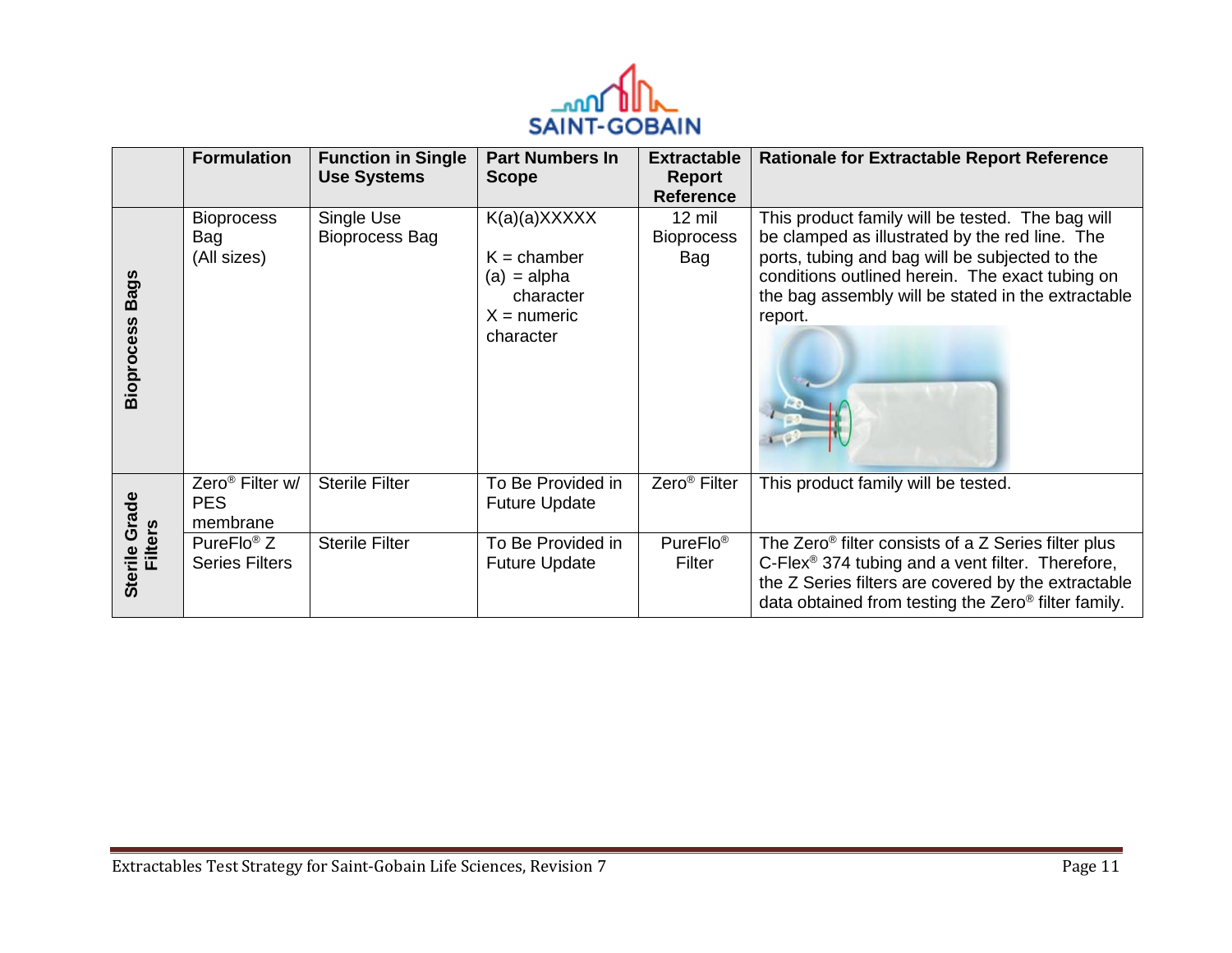

|                                  | <b>Formulation</b>                                    | <b>Function in Single</b><br><b>Use Systems</b> | <b>Part Numbers In</b><br><b>Scope</b>                                                       | <b>Extractable</b><br>Report<br><b>Reference</b> | <b>Rationale for Extractable Report Reference</b>                                                                                                                                                                                                                        |
|----------------------------------|-------------------------------------------------------|-------------------------------------------------|----------------------------------------------------------------------------------------------|--------------------------------------------------|--------------------------------------------------------------------------------------------------------------------------------------------------------------------------------------------------------------------------------------------------------------------------|
| <b>Bags</b><br><b>Bioprocess</b> | <b>Bioprocess</b><br>Bag<br>(All sizes)               | Single Use<br><b>Bioprocess Bag</b>             | $K(a)(a)$ XXXXX<br>$K =$ chamber<br>$(a) = alpha$<br>character<br>$X =$ numeric<br>character | $12 \text{ mil}$<br><b>Bioprocess</b><br>Bag     | This product family will be tested. The bag will<br>be clamped as illustrated by the red line. The<br>ports, tubing and bag will be subjected to the<br>conditions outlined herein. The exact tubing on<br>the bag assembly will be stated in the extractable<br>report. |
|                                  | Zero <sup>®</sup> Filter w/<br><b>PES</b><br>membrane | <b>Sterile Filter</b>                           | To Be Provided in<br><b>Future Update</b>                                                    | Zero <sup>®</sup> Filter                         | This product family will be tested.                                                                                                                                                                                                                                      |
| Sterile Grade<br><b>Filters</b>  | PureFlo <sup>®</sup> $Z$<br><b>Series Filters</b>     | <b>Sterile Filter</b>                           | To Be Provided in<br><b>Future Update</b>                                                    | PureFlo <sup>®</sup><br>Filter                   | The Zero <sup>®</sup> filter consists of a Z Series filter plus<br>C-Flex <sup>®</sup> 374 tubing and a vent filter. Therefore,<br>the Z Series filters are covered by the extractable<br>data obtained from testing the Zero <sup>®</sup> filter family.                |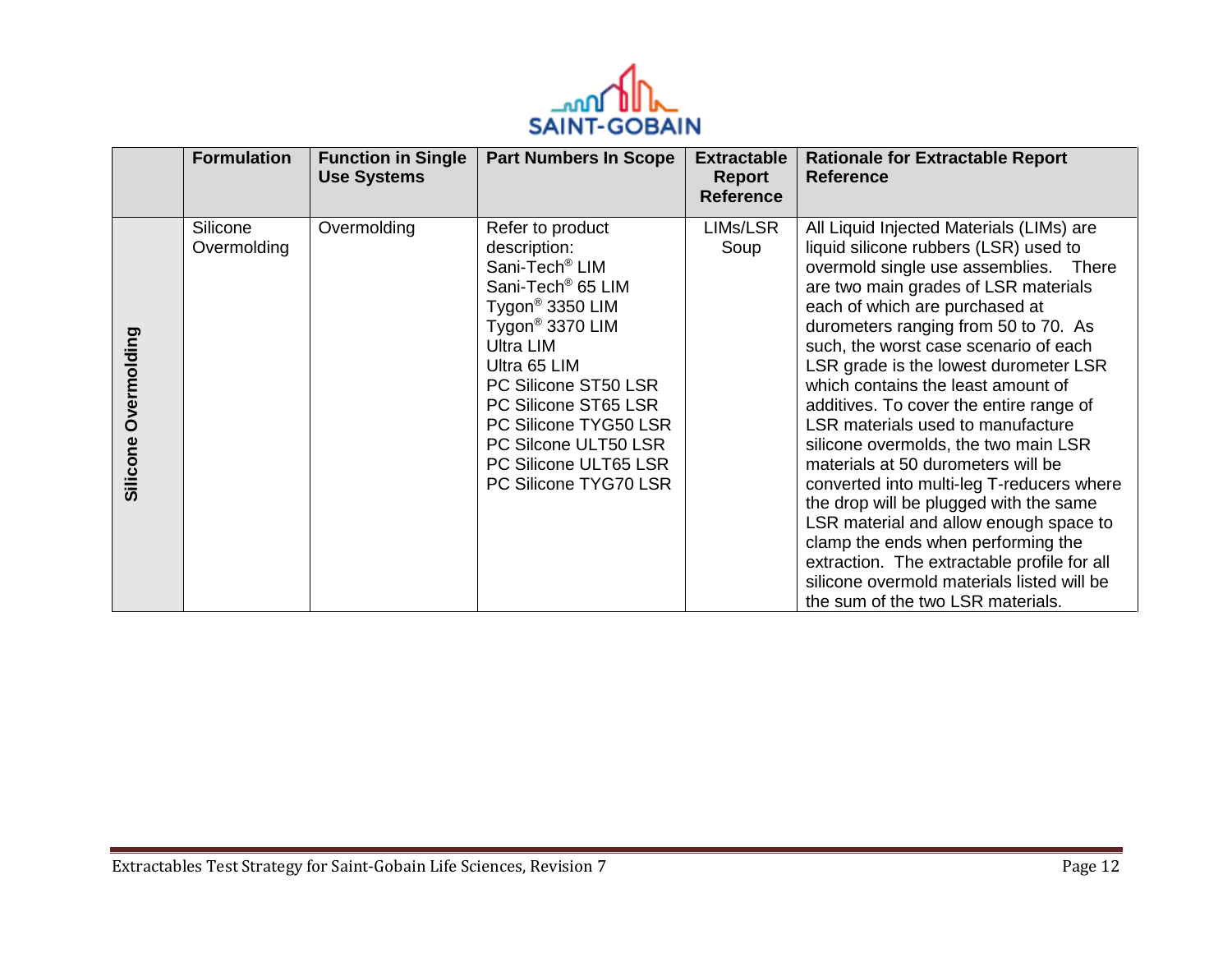

|                         | <b>Formulation</b>      | <b>Function in Single</b><br><b>Use Systems</b> | <b>Part Numbers In Scope</b>                                                                                                                                                                                                                                                                                                                  | <b>Extractable</b><br>Report<br><b>Reference</b> | <b>Rationale for Extractable Report</b><br><b>Reference</b>                                                                                                                                                                                                                                                                                                                                                                                                                                                                                                                                                                                                                                                                                                                                                                                 |
|-------------------------|-------------------------|-------------------------------------------------|-----------------------------------------------------------------------------------------------------------------------------------------------------------------------------------------------------------------------------------------------------------------------------------------------------------------------------------------------|--------------------------------------------------|---------------------------------------------------------------------------------------------------------------------------------------------------------------------------------------------------------------------------------------------------------------------------------------------------------------------------------------------------------------------------------------------------------------------------------------------------------------------------------------------------------------------------------------------------------------------------------------------------------------------------------------------------------------------------------------------------------------------------------------------------------------------------------------------------------------------------------------------|
| Overmolding<br>Silicone | Silicone<br>Overmolding | Overmolding                                     | Refer to product<br>description:<br>Sani-Tech <sup>®</sup> LIM<br>Sani-Tech <sup>®</sup> 65 LIM<br>Tygon <sup>®</sup> 3350 LIM<br>Tygon <sup>®</sup> 3370 LIM<br>Ultra LIM<br>Ultra 65 LIM<br>PC Silicone ST50 LSR<br>PC Silicone ST65 LSR<br>PC Silicone TYG50 LSR<br>PC Silcone ULT50 LSR<br>PC Silicone ULT65 LSR<br>PC Silicone TYG70 LSR | LIMs/LSR<br>Soup                                 | All Liquid Injected Materials (LIMs) are<br>liquid silicone rubbers (LSR) used to<br>overmold single use assemblies. There<br>are two main grades of LSR materials<br>each of which are purchased at<br>durometers ranging from 50 to 70. As<br>such, the worst case scenario of each<br>LSR grade is the lowest durometer LSR<br>which contains the least amount of<br>additives. To cover the entire range of<br>LSR materials used to manufacture<br>silicone overmolds, the two main LSR<br>materials at 50 durometers will be<br>converted into multi-leg T-reducers where<br>the drop will be plugged with the same<br>LSR material and allow enough space to<br>clamp the ends when performing the<br>extraction. The extractable profile for all<br>silicone overmold materials listed will be<br>the sum of the two LSR materials. |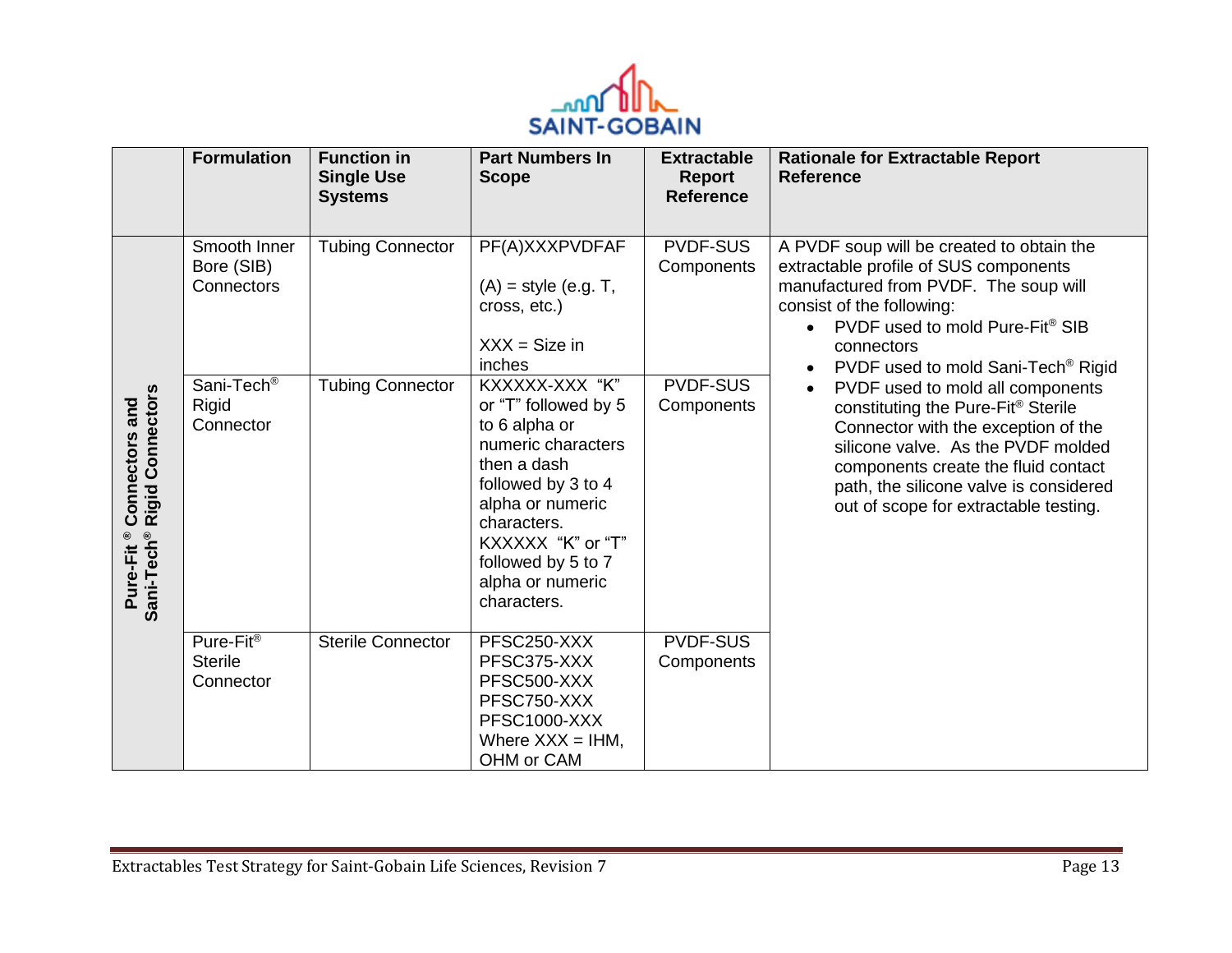

|                                                                                  | <b>Formulation</b>                           | <b>Function in</b><br><b>Single Use</b><br><b>Systems</b> | <b>Part Numbers In</b><br><b>Scope</b>                                                                                                                                                                                              | <b>Extractable</b><br>Report<br><b>Reference</b> | <b>Rationale for Extractable Report</b><br><b>Reference</b>                                                                                                                                                                                                                                       |
|----------------------------------------------------------------------------------|----------------------------------------------|-----------------------------------------------------------|-------------------------------------------------------------------------------------------------------------------------------------------------------------------------------------------------------------------------------------|--------------------------------------------------|---------------------------------------------------------------------------------------------------------------------------------------------------------------------------------------------------------------------------------------------------------------------------------------------------|
|                                                                                  | Smooth Inner<br>Bore (SIB)<br>Connectors     | <b>Tubing Connector</b>                                   | PF(A)XXXPVDFAF<br>$(A)$ = style (e.g. T,<br>cross, etc.)<br>$XXX = Size in$<br>inches                                                                                                                                               | <b>PVDF-SUS</b><br>Components                    | A PVDF soup will be created to obtain the<br>extractable profile of SUS components<br>manufactured from PVDF. The soup will<br>consist of the following:<br>PVDF used to mold Pure-Fit <sup>®</sup> SIB<br>$\bullet$<br>connectors<br>PVDF used to mold Sani-Tech <sup>®</sup> Rigid<br>$\bullet$ |
| <b>Rigid Connectors</b><br>Connectors and<br>Sani-Tech <sup>®</sup><br>Pure-Fit® | Sani-Tech <sup>®</sup><br>Rigid<br>Connector | <b>Tubing Connector</b>                                   | KXXXXX-XXX "K"<br>or "T" followed by 5<br>to 6 alpha or<br>numeric characters<br>then a dash<br>followed by 3 to 4<br>alpha or numeric<br>characters.<br>KXXXXX "K" or "T"<br>followed by 5 to 7<br>alpha or numeric<br>characters. | <b>PVDF-SUS</b><br>Components                    | PVDF used to mold all components<br>$\bullet$<br>constituting the Pure-Fit® Sterile<br>Connector with the exception of the<br>silicone valve. As the PVDF molded<br>components create the fluid contact<br>path, the silicone valve is considered<br>out of scope for extractable testing.        |
|                                                                                  | Pure-Fit®<br><b>Sterile</b><br>Connector     | <b>Sterile Connector</b>                                  | PFSC250-XXX<br>PFSC375-XXX<br>PFSC500-XXX<br>PFSC750-XXX<br>PFSC1000-XXX<br>Where $XXX = IHM$ ,<br>OHM or CAM                                                                                                                       | <b>PVDF-SUS</b><br>Components                    |                                                                                                                                                                                                                                                                                                   |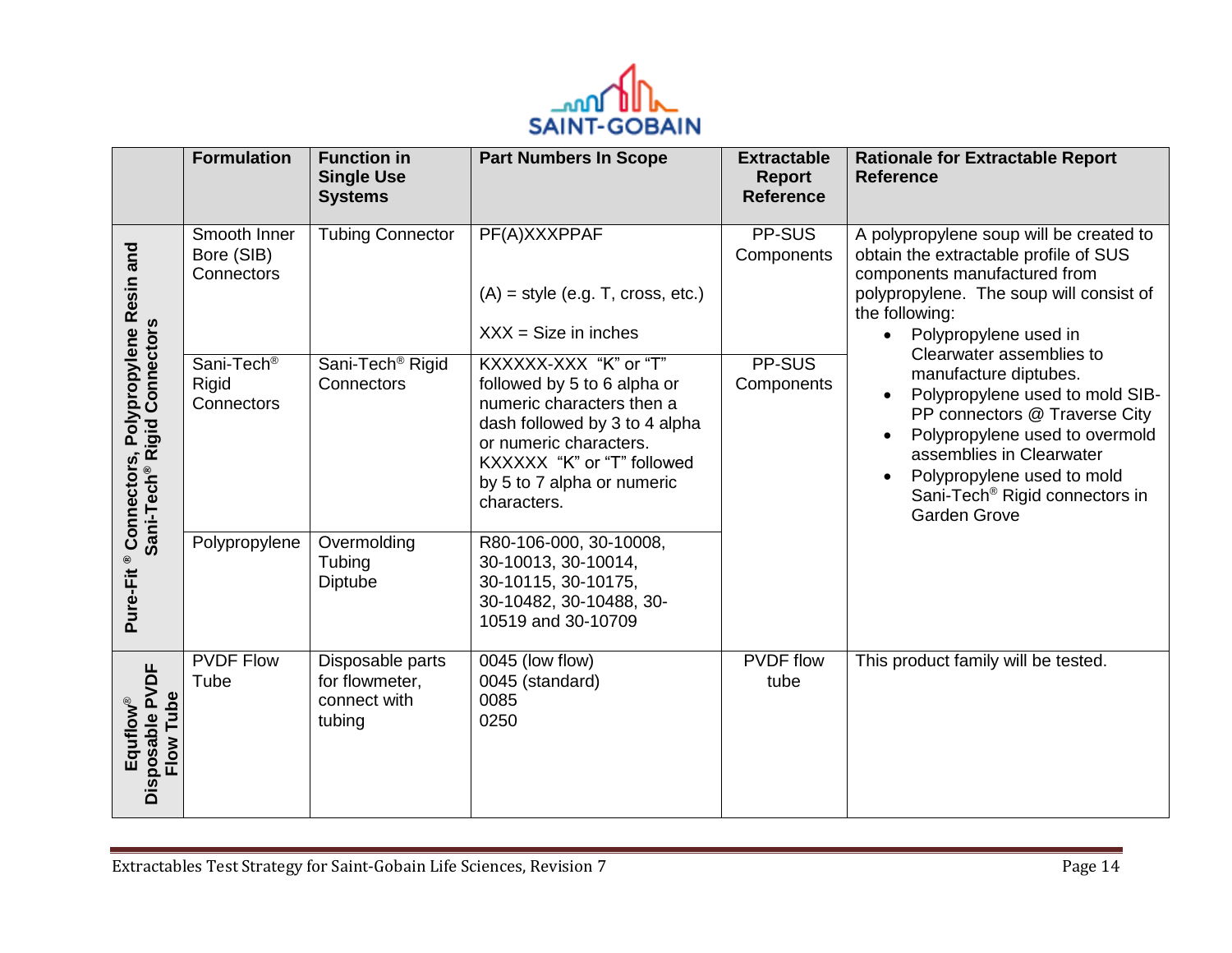

|                                                                  | <b>Formulation</b>                            | <b>Function in</b><br><b>Single Use</b><br><b>Systems</b>    | <b>Part Numbers In Scope</b>                                                                                                                                                                                            | <b>Extractable</b><br>Report<br><b>Reference</b> | <b>Rationale for Extractable Report</b><br><b>Reference</b>                                                                                                                                                                                                                            |
|------------------------------------------------------------------|-----------------------------------------------|--------------------------------------------------------------|-------------------------------------------------------------------------------------------------------------------------------------------------------------------------------------------------------------------------|--------------------------------------------------|----------------------------------------------------------------------------------------------------------------------------------------------------------------------------------------------------------------------------------------------------------------------------------------|
| and                                                              | Smooth Inner<br>Bore (SIB)<br>Connectors      | <b>Tubing Connector</b>                                      | PF(A)XXXPPAF<br>$(A)$ = style (e.g. T, cross, etc.)<br>$XXX = Size$ in inches                                                                                                                                           | PP-SUS<br>Components                             | A polypropylene soup will be created to<br>obtain the extractable profile of SUS<br>components manufactured from<br>polypropylene. The soup will consist of<br>the following:<br>Polypropylene used in                                                                                 |
| ® Connectors, Polypropylene Resin<br>Sani-Tech® Rigid Connectors | Sani-Tech <sup>®</sup><br>Rigid<br>Connectors | Sani-Tech <sup>®</sup> Rigid<br>Connectors                   | KXXXXX-XXX "K" or "T"<br>followed by 5 to 6 alpha or<br>numeric characters then a<br>dash followed by 3 to 4 alpha<br>or numeric characters.<br>KXXXXX "K" or "T" followed<br>by 5 to 7 alpha or numeric<br>characters. | PP-SUS<br>Components                             | Clearwater assemblies to<br>manufacture diptubes.<br>Polypropylene used to mold SIB-<br>PP connectors @ Traverse City<br>Polypropylene used to overmold<br>assemblies in Clearwater<br>Polypropylene used to mold<br>Sani-Tech <sup>®</sup> Rigid connectors in<br><b>Garden Grove</b> |
| Pure-Fit                                                         | Polypropylene                                 | Overmolding<br>Tubing<br>Diptube                             | R80-106-000, 30-10008,<br>30-10013, 30-10014,<br>30-10115, 30-10175,<br>30-10482, 30-10488, 30-<br>10519 and 30-10709                                                                                                   |                                                  |                                                                                                                                                                                                                                                                                        |
| Disposable PVDF<br>Flow Tube<br>Equflow®                         | <b>PVDF Flow</b><br>Tube                      | Disposable parts<br>for flowmeter,<br>connect with<br>tubing | 0045 (low flow)<br>0045 (standard)<br>0085<br>0250                                                                                                                                                                      | <b>PVDF</b> flow<br>tube                         | This product family will be tested.                                                                                                                                                                                                                                                    |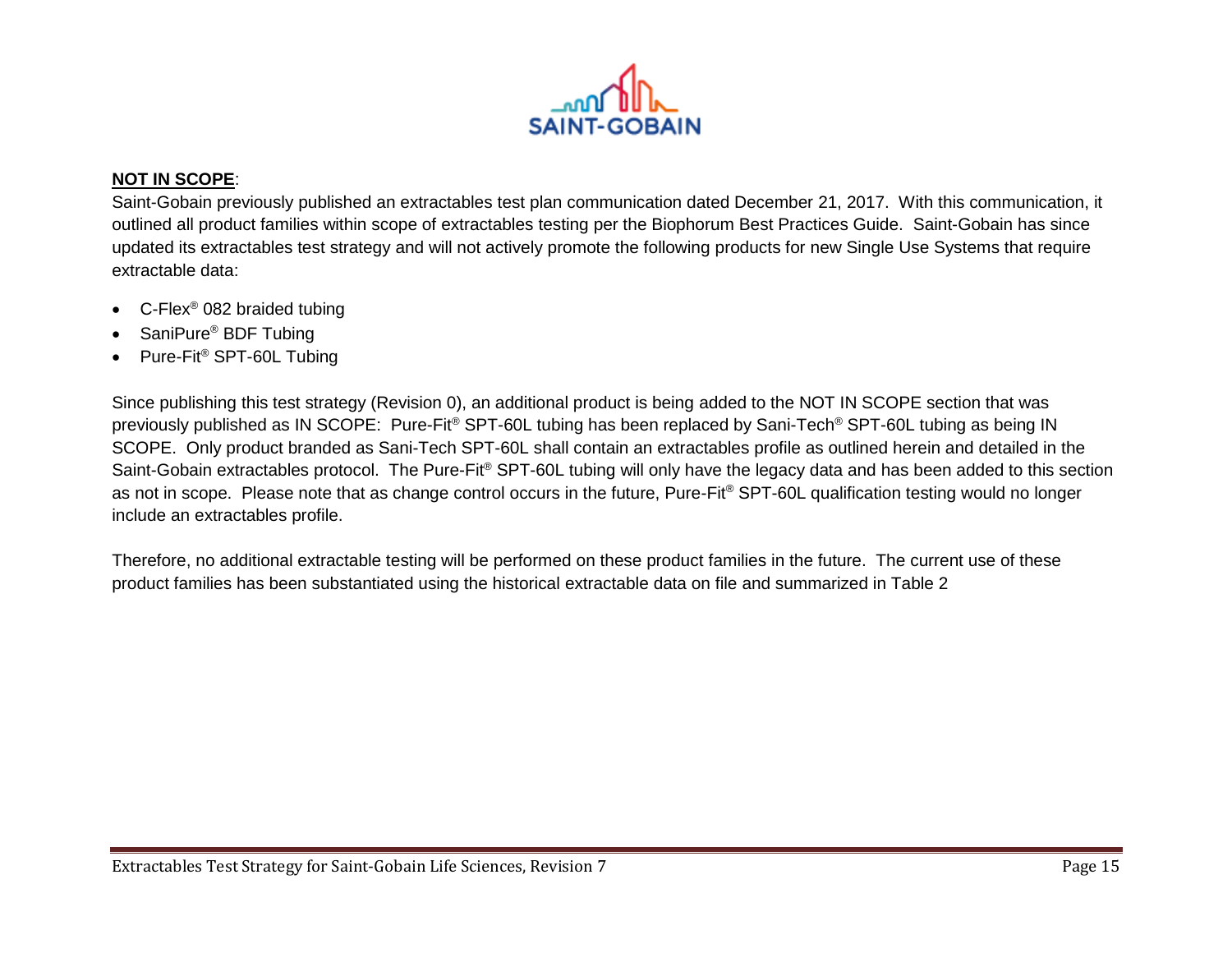

#### **NOT IN SCOPE**:

Saint-Gobain previously published an extractables test plan communication dated December 21, 2017. With this communication, it outlined all product families within scope of extractables testing per the Biophorum Best Practices Guide. Saint-Gobain has since updated its extractables test strategy and will not actively promote the following products for new Single Use Systems that require extractable data:

- C-Flex<sup>®</sup> 082 braided tubing
- SaniPure® BDF Tubing
- Pure-Fit® SPT-60L Tubing

Since publishing this test strategy (Revision 0), an additional product is being added to the NOT IN SCOPE section that was previously published as IN SCOPE: Pure-Fit<sup>®</sup> SPT-60L tubing has been replaced by Sani-Tech<sup>®</sup> SPT-60L tubing as being IN SCOPE. Only product branded as Sani-Tech SPT-60L shall contain an extractables profile as outlined herein and detailed in the Saint-Gobain extractables protocol. The Pure-Fit® SPT-60L tubing will only have the legacy data and has been added to this section as not in scope. Please note that as change control occurs in the future, Pure-Fit® SPT-60L qualification testing would no longer include an extractables profile.

Therefore, no additional extractable testing will be performed on these product families in the future. The current use of these product families has been substantiated using the historical extractable data on file and summarized in Table 2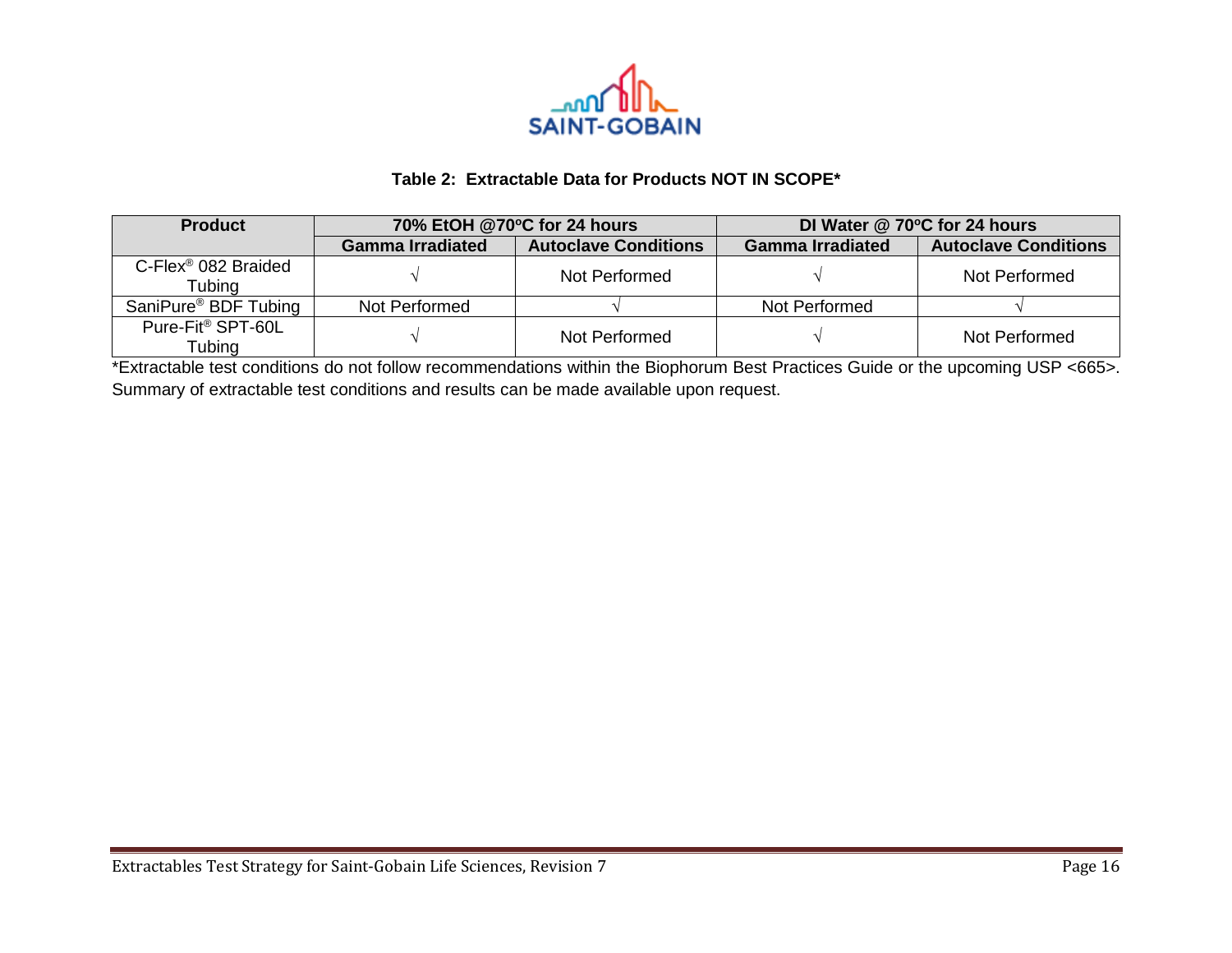

## **Table 2: Extractable Data for Products NOT IN SCOPE\***

| <b>Product</b>                               |                         | 70% EtOH @70°C for 24 hours | DI Water @ 70°C for 24 hours |                             |  |
|----------------------------------------------|-------------------------|-----------------------------|------------------------------|-----------------------------|--|
|                                              | <b>Gamma Irradiated</b> | <b>Autoclave Conditions</b> | <b>Gamma Irradiated</b>      | <b>Autoclave Conditions</b> |  |
| $C$ -Flex <sup>®</sup> 082 Braided<br>Tubing |                         | Not Performed               |                              | Not Performed               |  |
| SaniPure <sup>®</sup> BDF Tubing             | Not Performed           |                             | Not Performed                |                             |  |
| Pure-Fit <sup>®</sup> SPT-60L<br>Tubing      |                         | Not Performed               |                              | Not Performed               |  |

\*Extractable test conditions do not follow recommendations within the Biophorum Best Practices Guide or the upcoming USP <665>. Summary of extractable test conditions and results can be made available upon request.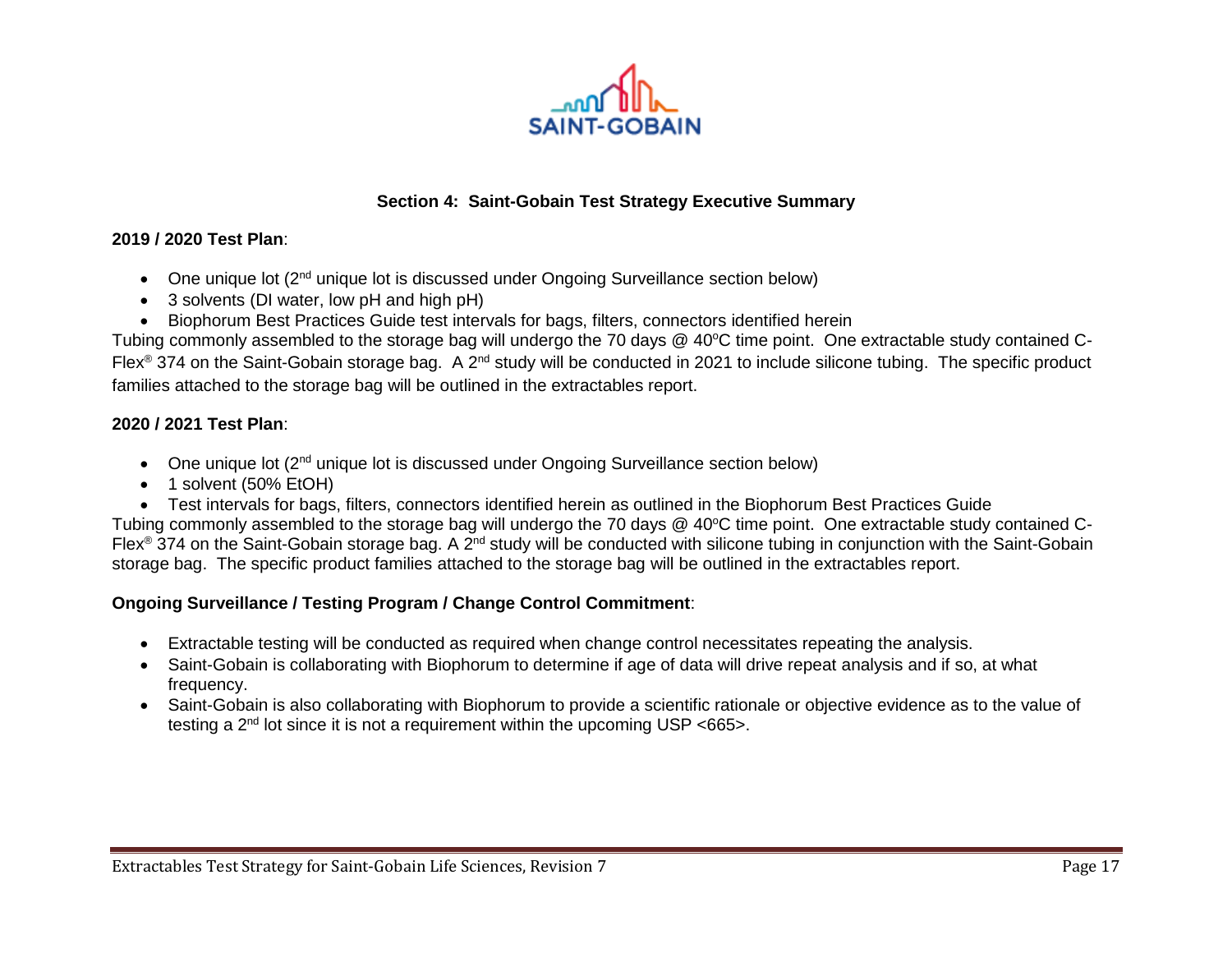

## **Section 4: Saint-Gobain Test Strategy Executive Summary**

#### **2019 / 2020 Test Plan**:

- One unique lot (2<sup>nd</sup> unique lot is discussed under Ongoing Surveillance section below)
- 3 solvents (DI water, low pH and high pH)
- Biophorum Best Practices Guide test intervals for bags, filters, connectors identified herein

Tubing commonly assembled to the storage bag will undergo the 70 days @ 40°C time point. One extractable study contained C-Flex<sup>®</sup> 374 on the Saint-Gobain storage bag. A 2<sup>nd</sup> study will be conducted in 2021 to include silicone tubing. The specific product families attached to the storage bag will be outlined in the extractables report.

#### **2020 / 2021 Test Plan**:

- One unique lot (2<sup>nd</sup> unique lot is discussed under Ongoing Surveillance section below)
- 1 solvent (50% EtOH)
- Test intervals for bags, filters, connectors identified herein as outlined in the Biophorum Best Practices Guide

Tubing commonly assembled to the storage bag will undergo the 70 days @ 40°C time point. One extractable study contained C-Flex<sup>®</sup> 374 on the Saint-Gobain storage bag. A 2<sup>nd</sup> study will be conducted with silicone tubing in conjunction with the Saint-Gobain storage bag. The specific product families attached to the storage bag will be outlined in the extractables report.

#### **Ongoing Surveillance / Testing Program / Change Control Commitment**:

- Extractable testing will be conducted as required when change control necessitates repeating the analysis.
- Saint-Gobain is collaborating with Biophorum to determine if age of data will drive repeat analysis and if so, at what frequency.
- Saint-Gobain is also collaborating with Biophorum to provide a scientific rationale or objective evidence as to the value of testing a  $2<sup>nd</sup>$  lot since it is not a requirement within the upcoming USP <665>.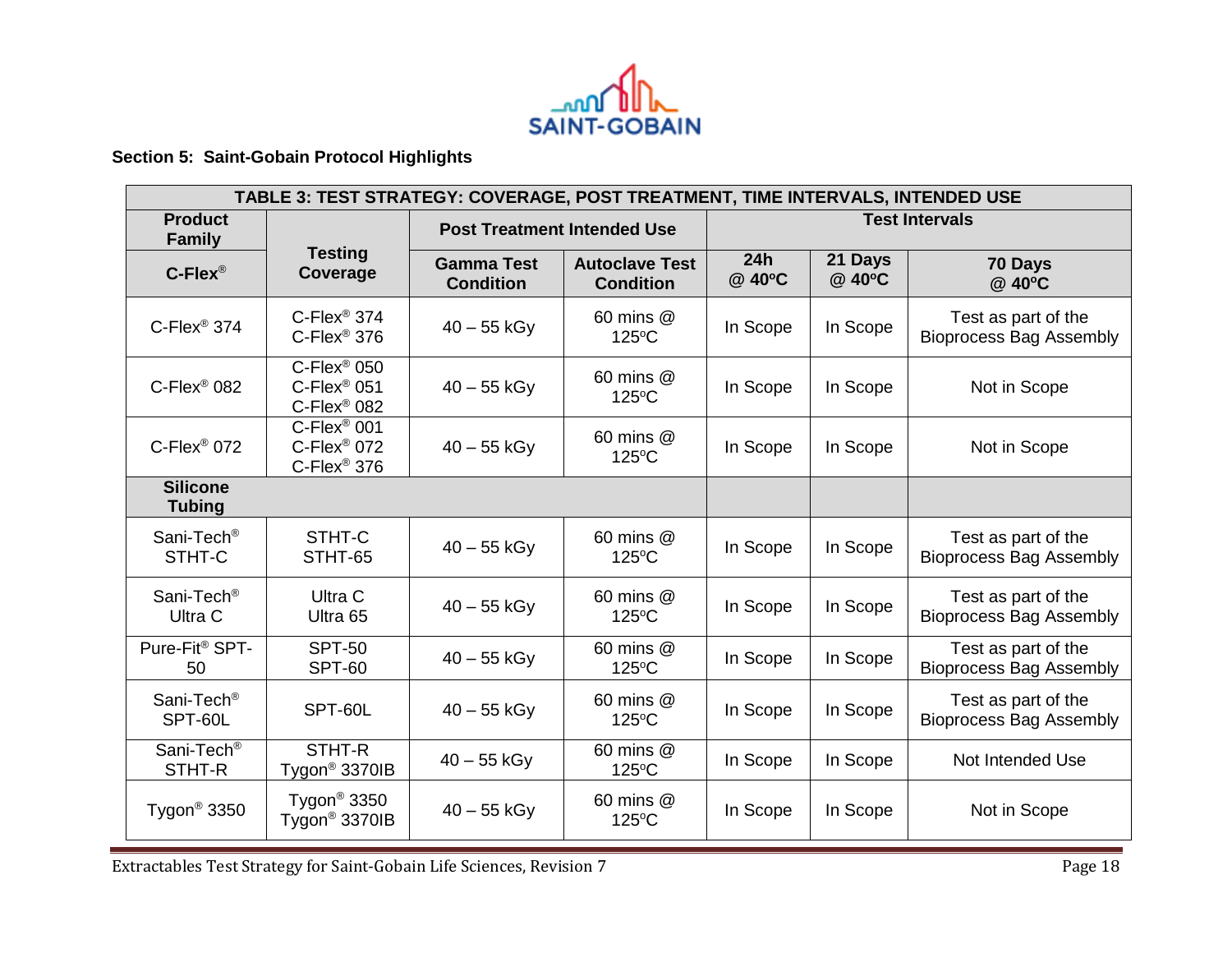

# **Section 5: Saint-Gobain Protocol Highlights**

| TABLE 3: TEST STRATEGY: COVERAGE, POST TREATMENT, TIME INTERVALS, INTENDED USE |                                                                         |                                       |                                           |                       |                   |                                                       |
|--------------------------------------------------------------------------------|-------------------------------------------------------------------------|---------------------------------------|-------------------------------------------|-----------------------|-------------------|-------------------------------------------------------|
| <b>Product</b><br><b>Family</b>                                                |                                                                         | <b>Post Treatment Intended Use</b>    |                                           | <b>Test Intervals</b> |                   |                                                       |
| $C$ -Flex®                                                                     | <b>Testing</b><br>Coverage                                              | <b>Gamma Test</b><br><b>Condition</b> | <b>Autoclave Test</b><br><b>Condition</b> | 24h<br>@ 40°C         | 21 Days<br>@ 40°C | 70 Days<br>@ 40°C                                     |
| $C$ -Flex® 374                                                                 | $C$ -Flex <sup>®</sup> 374<br>$C$ -Flex <sup>®</sup> 376                | $40 - 55$ kGy                         | 60 mins @<br>$125^{\circ}$ C              | In Scope              | In Scope          | Test as part of the<br><b>Bioprocess Bag Assembly</b> |
| $C$ -Flex® 082                                                                 | $C$ -Flex <sup>®</sup> 050<br>$C$ -Flex® 051<br>C-Flex <sup>®</sup> 082 | $40 - 55$ kGy                         | 60 mins @<br>125°C                        | In Scope              | In Scope          | Not in Scope                                          |
| $C$ -Flex® 072                                                                 | $C$ -Flex® 001<br>C-Flex <sup>®</sup> 072<br>C-Flex <sup>®</sup> 376    | $40 - 55$ kGy                         | 60 mins @<br>125°C                        | In Scope              | In Scope          | Not in Scope                                          |
| <b>Silicone</b><br><b>Tubing</b>                                               |                                                                         |                                       |                                           |                       |                   |                                                       |
| Sani-Tech <sup>®</sup><br>STHT-C                                               | STHT-C<br>STHT-65                                                       | $40 - 55$ kGy                         | 60 mins @<br>125°C                        | In Scope              | In Scope          | Test as part of the<br><b>Bioprocess Bag Assembly</b> |
| Sani-Tech <sup>®</sup><br>Ultra C                                              | Ultra C<br>Ultra 65                                                     | $40 - 55$ kGy                         | 60 mins @<br>125°C                        | In Scope              | In Scope          | Test as part of the<br><b>Bioprocess Bag Assembly</b> |
| Pure-Fit <sup>®</sup> SPT-<br>50                                               | <b>SPT-50</b><br><b>SPT-60</b>                                          | $40 - 55$ kGy                         | 60 mins @<br>$125^{\circ}$ C              | In Scope              | In Scope          | Test as part of the<br><b>Bioprocess Bag Assembly</b> |
| Sani-Tech <sup>®</sup><br>SPT-60L                                              | SPT-60L                                                                 | $40 - 55$ kGy                         | 60 mins @<br>$125^{\circ}$ C              | In Scope              | In Scope          | Test as part of the<br><b>Bioprocess Bag Assembly</b> |
| Sani-Tech <sup>®</sup><br>STHT-R                                               | STHT-R<br>Tygon <sup>®</sup> 3370IB                                     | $40 - 55$ kGy                         | 60 mins @<br>125°C                        | In Scope              | In Scope          | Not Intended Use                                      |
| Tygon <sup>®</sup> 3350                                                        | Tygon <sup>®</sup> 3350<br>Tygon <sup>®</sup> 3370IB                    | $40 - 55$ kGy                         | 60 mins @<br>125°C                        | In Scope              | In Scope          | Not in Scope                                          |

Extractables Test Strategy for Saint-Gobain Life Sciences, Revision 7 contracts and the Sciences of Page 18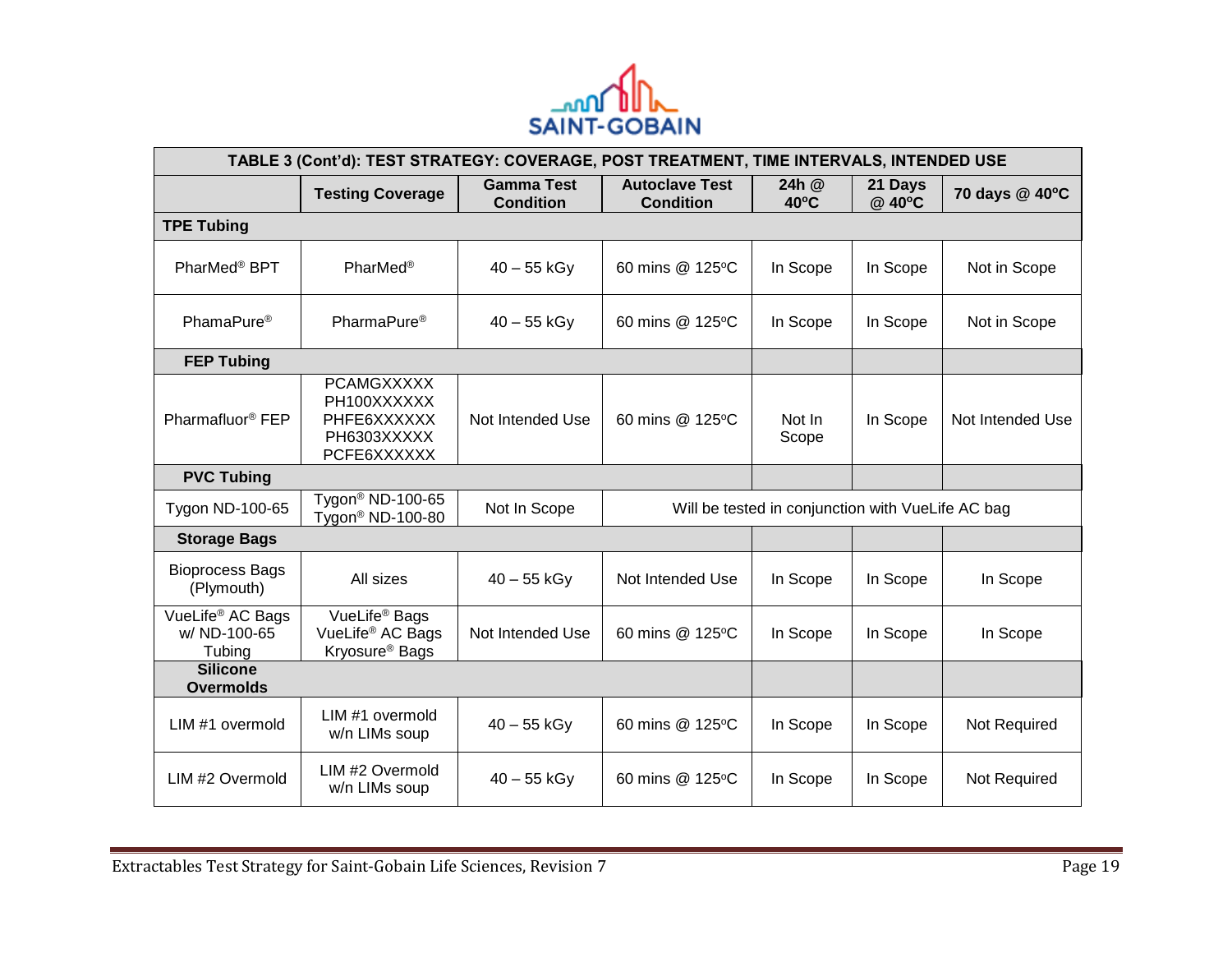

| TABLE 3 (Cont'd): TEST STRATEGY: COVERAGE, POST TREATMENT, TIME INTERVALS, INTENDED USE |                                                                                         |                                       |                                           |                                                   |                   |                  |
|-----------------------------------------------------------------------------------------|-----------------------------------------------------------------------------------------|---------------------------------------|-------------------------------------------|---------------------------------------------------|-------------------|------------------|
|                                                                                         | <b>Testing Coverage</b>                                                                 | <b>Gamma Test</b><br><b>Condition</b> | <b>Autoclave Test</b><br><b>Condition</b> | 24h @<br>$40^{\circ}$ C                           | 21 Days<br>@ 40°C | 70 days @ 40°C   |
| <b>TPE Tubing</b>                                                                       |                                                                                         |                                       |                                           |                                                   |                   |                  |
| PharMed <sup>®</sup> BPT                                                                | <b>PharMed®</b>                                                                         | $40 - 55$ kGy                         | 60 mins @ 125°C                           | In Scope                                          | In Scope          | Not in Scope     |
| PhamaPure <sup>®</sup><br>PharmaPure <sup>®</sup>                                       |                                                                                         | $40 - 55$ kGy                         | 60 mins @ 125°C                           | In Scope                                          | In Scope          | Not in Scope     |
| <b>FEP Tubing</b>                                                                       |                                                                                         |                                       |                                           |                                                   |                   |                  |
| Pharmafluor <sup>®</sup> FEP                                                            | <b>PCAMGXXXXX</b><br>PH100XXXXXX<br>PHFE6XXXXXX<br>PH6303XXXXX<br>PCFE6XXXXXX           | Not Intended Use                      | 60 mins @ 125°C                           | Not In<br>Scope                                   | In Scope          | Not Intended Use |
| <b>PVC Tubing</b>                                                                       |                                                                                         |                                       |                                           |                                                   |                   |                  |
| Tygon ND-100-65                                                                         | Tygon <sup>®</sup> ND-100-65<br>Tygon <sup>®</sup> ND-100-80                            | Not In Scope                          |                                           | Will be tested in conjunction with VueLife AC bag |                   |                  |
| <b>Storage Bags</b>                                                                     |                                                                                         |                                       |                                           |                                                   |                   |                  |
| <b>Bioprocess Bags</b><br>(Plymouth)                                                    | All sizes                                                                               | $40 - 55$ kGy                         | Not Intended Use                          | In Scope                                          | In Scope          | In Scope         |
| VueLife <sup>®</sup> AC Bags<br>w/ ND-100-65<br>Tubing                                  | VueLife <sup>®</sup> Bags<br>VueLife <sup>®</sup> AC Bags<br>Kryosure <sup>®</sup> Bags | Not Intended Use                      | 60 mins @ 125°C                           | In Scope                                          | In Scope          | In Scope         |
| <b>Silicone</b><br><b>Overmolds</b>                                                     |                                                                                         |                                       |                                           |                                                   |                   |                  |
| LIM#1 overmold                                                                          | LIM#1 overmold<br>w/n LIMs soup                                                         | $40 - 55$ kGy                         | 60 mins @ 125°C                           | In Scope                                          | In Scope          | Not Required     |
| LIM #2 Overmold                                                                         | LIM #2 Overmold<br>w/n LIMs soup                                                        | $40 - 55$ kGy                         | 60 mins @ 125°C                           | In Scope                                          | In Scope          | Not Required     |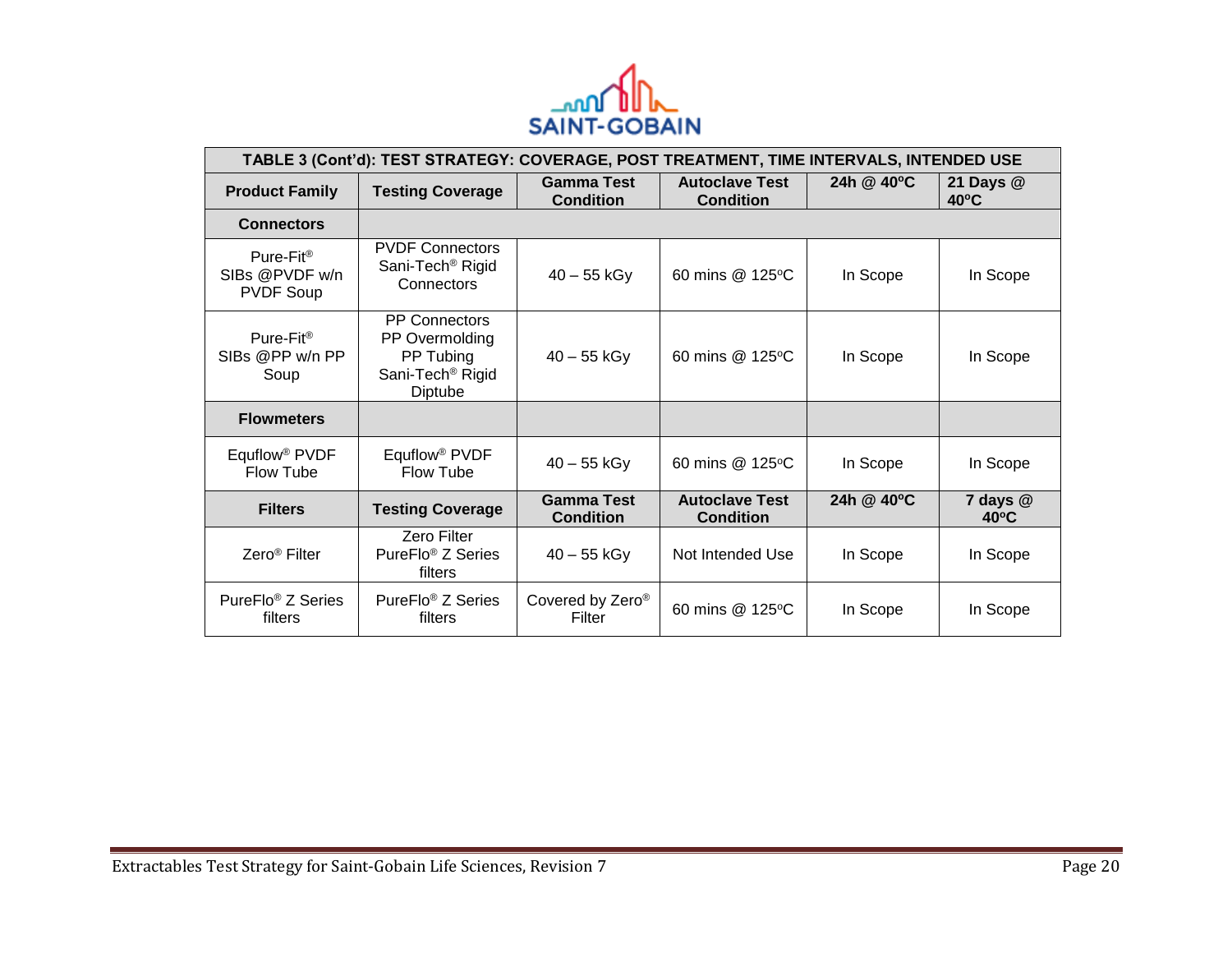

| TABLE 3 (Cont'd): TEST STRATEGY: COVERAGE, POST TREATMENT, TIME INTERVALS, INTENDED USE |                                                                                                |                                       |                                           |            |                             |  |
|-----------------------------------------------------------------------------------------|------------------------------------------------------------------------------------------------|---------------------------------------|-------------------------------------------|------------|-----------------------------|--|
| <b>Product Family</b>                                                                   | <b>Testing Coverage</b>                                                                        | <b>Gamma Test</b><br><b>Condition</b> | <b>Autoclave Test</b><br><b>Condition</b> | 24h @ 40°C | 21 Days @<br>$40^{\circ}$ C |  |
| <b>Connectors</b>                                                                       |                                                                                                |                                       |                                           |            |                             |  |
| Pure-Fit <sup>®</sup><br>SIBs @PVDF w/n<br><b>PVDF Soup</b>                             | <b>PVDF Connectors</b><br>Sani-Tech <sup>®</sup> Rigid<br>Connectors                           | $40 - 55$ kGy                         | 60 mins @ 125°C                           | In Scope   | In Scope                    |  |
| Pure-Fit <sup>®</sup><br>SIBs @PP w/n PP<br>Soup                                        | <b>PP Connectors</b><br>PP Overmolding<br>PP Tubing<br>Sani-Tech <sup>®</sup> Rigid<br>Diptube | $40 - 55$ kGy                         | 60 mins @ 125 °C                          | In Scope   | In Scope                    |  |
| <b>Flowmeters</b>                                                                       |                                                                                                |                                       |                                           |            |                             |  |
| Equflow <sup>®</sup> PVDF<br><b>Flow Tube</b>                                           | Equflow <sup>®</sup> PVDF<br>Flow Tube                                                         | $40 - 55$ kGy                         | 60 mins @ 125 °C                          | In Scope   | In Scope                    |  |
| <b>Filters</b>                                                                          | <b>Testing Coverage</b>                                                                        | <b>Gamma Test</b><br><b>Condition</b> | <b>Autoclave Test</b><br><b>Condition</b> | 24h @ 40°C | 7 days @<br>$40^{\circ}$ C  |  |
| Zero <sup>®</sup> Filter                                                                | Zero Filter<br>PureFlo® Z Series<br>filters                                                    | $40 - 55$ kGy                         | Not Intended Use                          | In Scope   | In Scope                    |  |
| PureFlo® Z Series<br>filters                                                            | PureFlo <sup>®</sup> Z Series<br>filters                                                       | Covered by Zero®<br>Filter            | 60 mins @ 125°C                           | In Scope   | In Scope                    |  |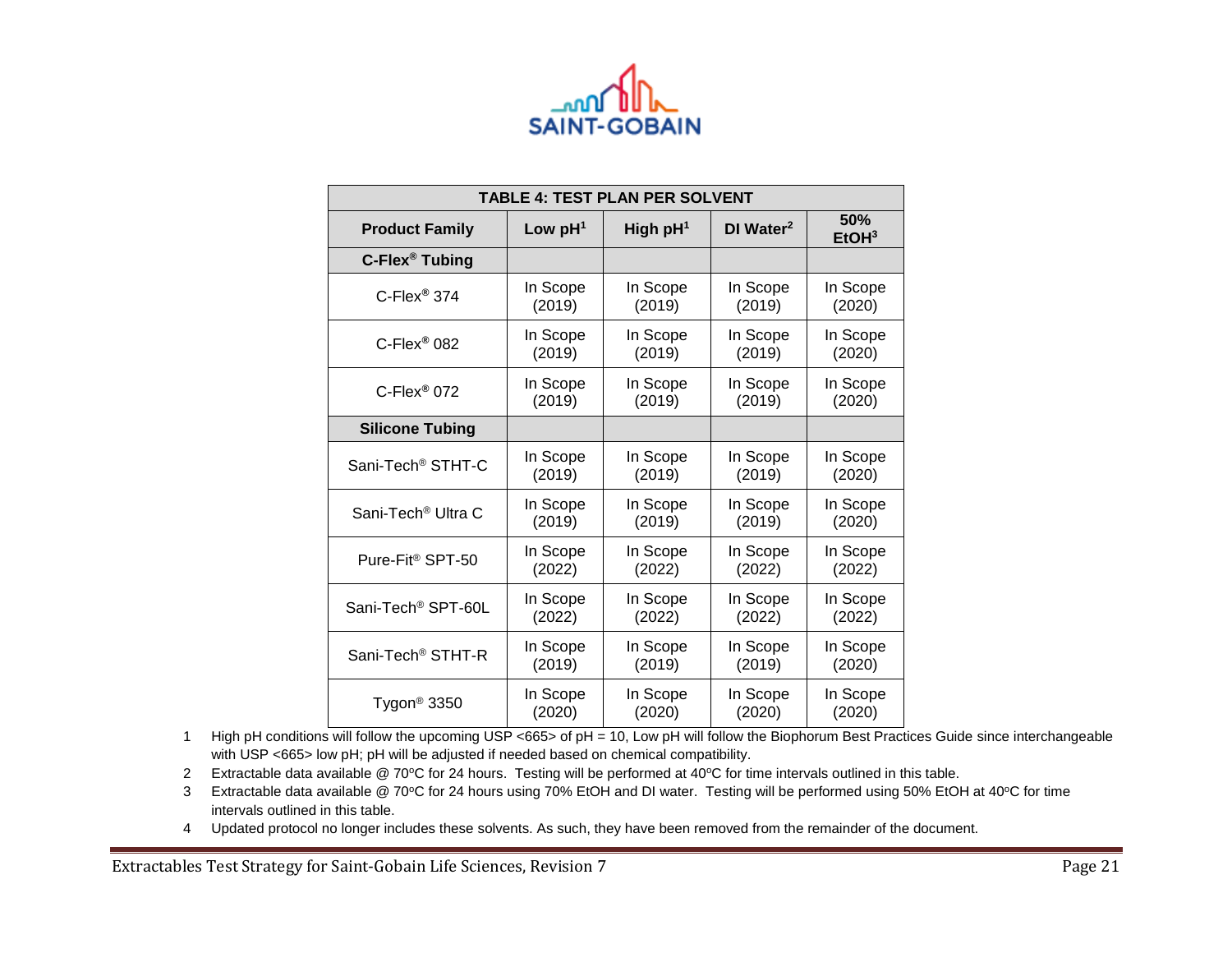

| TABLE 4: TEST PLAN PER SOLVENT |           |                      |                       |                          |
|--------------------------------|-----------|----------------------|-----------------------|--------------------------|
| <b>Product Family</b>          | Low $pH1$ | High pH <sup>1</sup> | DI Water <sup>2</sup> | 50%<br>EtOH <sup>3</sup> |
| C-Flex <sup>®</sup> Tubing     |           |                      |                       |                          |
| $C$ -Flex <sup>®</sup> 374     | In Scope  | In Scope             | In Scope              | In Scope                 |
|                                | (2019)    | (2019)               | (2019)                | (2020)                   |
| $C$ -Flex <sup>®</sup> 082     | In Scope  | In Scope             | In Scope              | In Scope                 |
|                                | (2019)    | (2019)               | (2019)                | (2020)                   |
| $C$ -Flex <sup>®</sup> 072     | In Scope  | In Scope             | In Scope              | In Scope                 |
|                                | (2019)    | (2019)               | (2019)                | (2020)                   |
| <b>Silicone Tubing</b>         |           |                      |                       |                          |
| Sani-Tech <sup>®</sup> STHT-C  | In Scope  | In Scope             | In Scope              | In Scope                 |
|                                | (2019)    | (2019)               | (2019)                | (2020)                   |
| Sani-Tech <sup>®</sup> Ultra C | In Scope  | In Scope             | In Scope              | In Scope                 |
|                                | (2019)    | (2019)               | (2019)                | (2020)                   |
| Pure-Fit <sup>®</sup> SPT-50   | In Scope  | In Scope             | In Scope              | In Scope                 |
|                                | (2022)    | (2022)               | (2022)                | (2022)                   |
| Sani-Tech <sup>®</sup> SPT-60L | In Scope  | In Scope             | In Scope              | In Scope                 |
|                                | (2022)    | (2022)               | (2022)                | (2022)                   |
| Sani-Tech <sup>®</sup> STHT-R  | In Scope  | In Scope             | In Scope              | In Scope                 |
|                                | (2019)    | (2019)               | (2019)                | (2020)                   |
| Tygon <sup>®</sup> 3350        | In Scope  | In Scope             | In Scope              | In Scope                 |
|                                | (2020)    | (2020)               | (2020)                | (2020)                   |

1 High pH conditions will follow the upcoming USP <665> of pH = 10, Low pH will follow the Biophorum Best Practices Guide since interchangeable with USP <665> low pH; pH will be adjusted if needed based on chemical compatibility.

2 Extractable data available @ 70°C for 24 hours. Testing will be performed at 40°C for time intervals outlined in this table.

3 Extractable data available @ 70°C for 24 hours using 70% EtOH and DI water. Testing will be performed using 50% EtOH at 40°C for time intervals outlined in this table.

4 Updated protocol no longer includes these solvents. As such, they have been removed from the remainder of the document.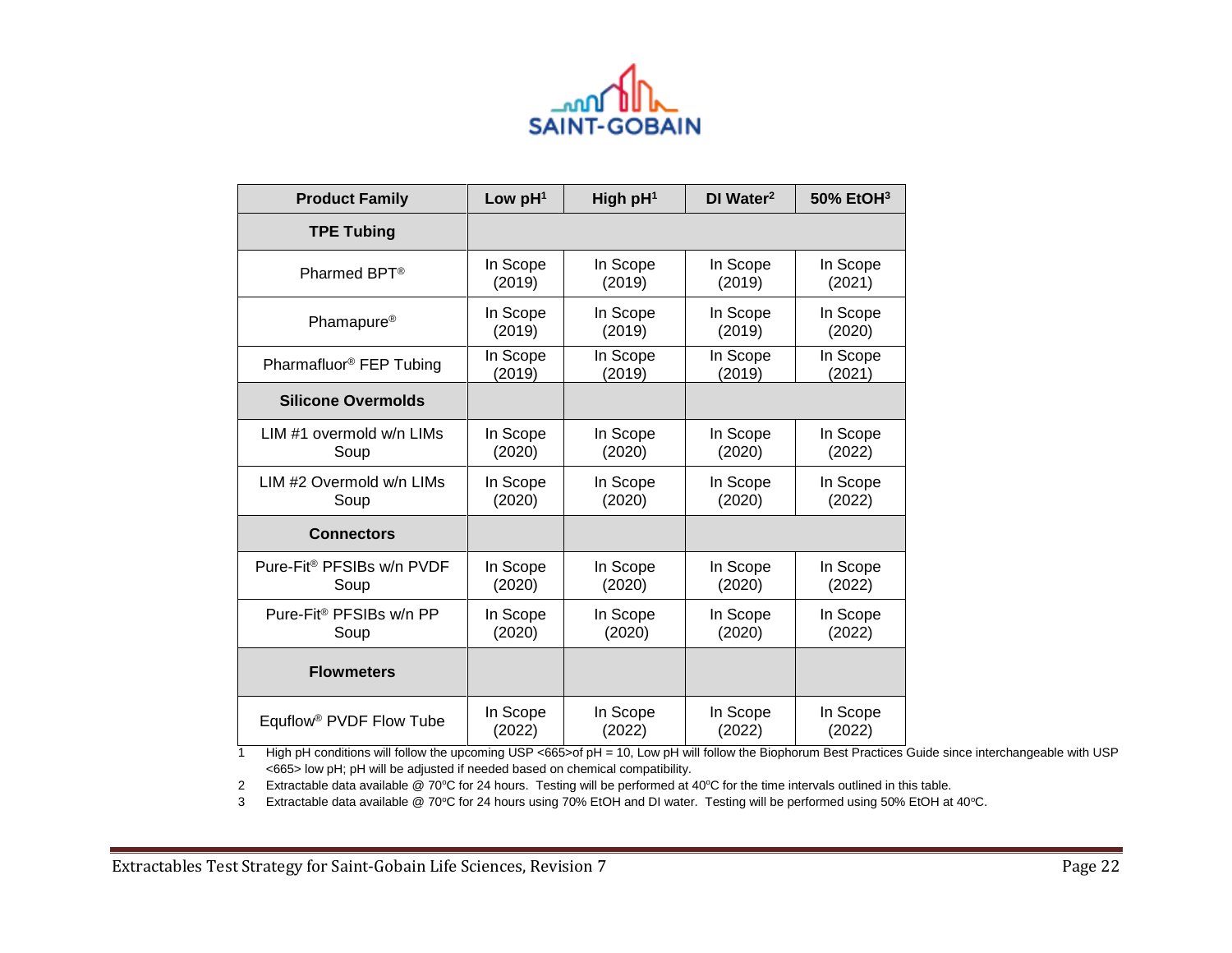

| <b>Product Family</b>                 | Low $pH1$ | High $pH1$ | DI Water <sup>2</sup> | 50% EtOH3 |
|---------------------------------------|-----------|------------|-----------------------|-----------|
| <b>TPE Tubing</b>                     |           |            |                       |           |
| Pharmed BPT <sup>®</sup>              | In Scope  | In Scope   | In Scope              | In Scope  |
|                                       | (2019)    | (2019)     | (2019)                | (2021)    |
| Phamapure <sup>®</sup>                | In Scope  | In Scope   | In Scope              | In Scope  |
|                                       | (2019)    | (2019)     | (2019)                | (2020)    |
| Pharmafluor <sup>®</sup> FEP Tubing   | In Scope  | In Scope   | In Scope              | In Scope  |
|                                       | (2019)    | (2019)     | (2019)                | (2021)    |
| <b>Silicone Overmolds</b>             |           |            |                       |           |
| LIM #1 overmold w/n LIMs              | In Scope  | In Scope   | In Scope              | In Scope  |
| Soup                                  | (2020)    | (2020)     | (2020)                | (2022)    |
| LIM #2 Overmold w/n LIMs              | In Scope  | In Scope   | In Scope              | In Scope  |
| Soup                                  | (2020)    | (2020)     | (2020)                | (2022)    |
| <b>Connectors</b>                     |           |            |                       |           |
| Pure-Fit <sup>®</sup> PFSIBs w/n PVDF | In Scope  | In Scope   | In Scope              | In Scope  |
| Soup                                  | (2020)    | (2020)     | (2020)                | (2022)    |
| Pure-Fit <sup>®</sup> PFSIBs w/n PP   | In Scope  | In Scope   | In Scope              | In Scope  |
| Soup                                  | (2020)    | (2020)     | (2020)                | (2022)    |
| <b>Flowmeters</b>                     |           |            |                       |           |
| Equflow <sup>®</sup> PVDF Flow Tube   | In Scope  | In Scope   | In Scope              | In Scope  |
|                                       | (2022)    | (2022)     | (2022)                | (2022)    |

1 High pH conditions will follow the upcoming USP <665>of pH = 10, Low pH will follow the Biophorum Best Practices Guide since interchangeable with USP <665> low pH; pH will be adjusted if needed based on chemical compatibility.

2 Extractable data available @ 70°C for 24 hours. Testing will be performed at 40°C for the time intervals outlined in this table.

3 Extractable data available @ 70°C for 24 hours using 70% EtOH and DI water. Testing will be performed using 50% EtOH at 40°C.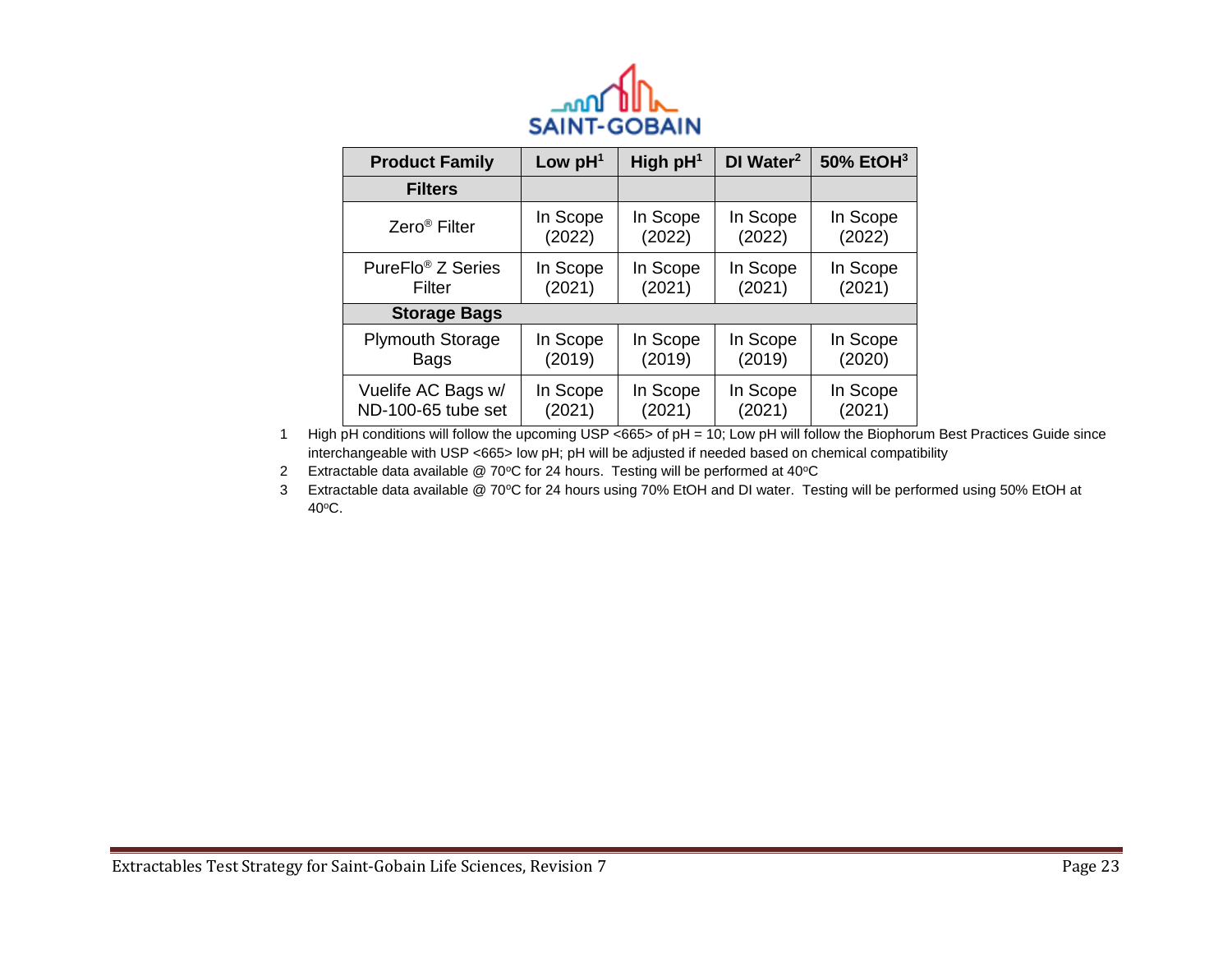

| <b>Product Family</b>         | Low $pH1$ | High $pH1$ | DI Water <sup>2</sup> | 50% EtOH <sup>3</sup> |
|-------------------------------|-----------|------------|-----------------------|-----------------------|
| <b>Filters</b>                |           |            |                       |                       |
| Zero <sup>®</sup> Filter      | In Scope  | In Scope   | In Scope              | In Scope              |
|                               | (2022)    | (2022)     | (2022)                | (2022)                |
| PureFlo <sup>®</sup> Z Series | In Scope  | In Scope   | In Scope              | In Scope              |
| Filter                        | (2021)    | (2021)     | (2021)                | (2021)                |
| <b>Storage Bags</b>           |           |            |                       |                       |
| <b>Plymouth Storage</b>       | In Scope  | In Scope   | In Scope              | In Scope              |
| <b>Bags</b>                   | (2019)    | (2019)     | (2019)                | (2020)                |
| Vuelife AC Bags w/            | In Scope  | In Scope   | In Scope              | In Scope              |
| ND-100-65 tube set            | (2021)    | (2021)     | (2021)                | (2021)                |

1 High pH conditions will follow the upcoming USP <665> of pH = 10; Low pH will follow the Biophorum Best Practices Guide since interchangeable with USP <665> low pH; pH will be adjusted if needed based on chemical compatibility

2 Extractable data available  $@$  70°C for 24 hours. Testing will be performed at 40°C

3 Extractable data available @ 70°C for 24 hours using 70% EtOH and DI water. Testing will be performed using 50% EtOH at 40°C.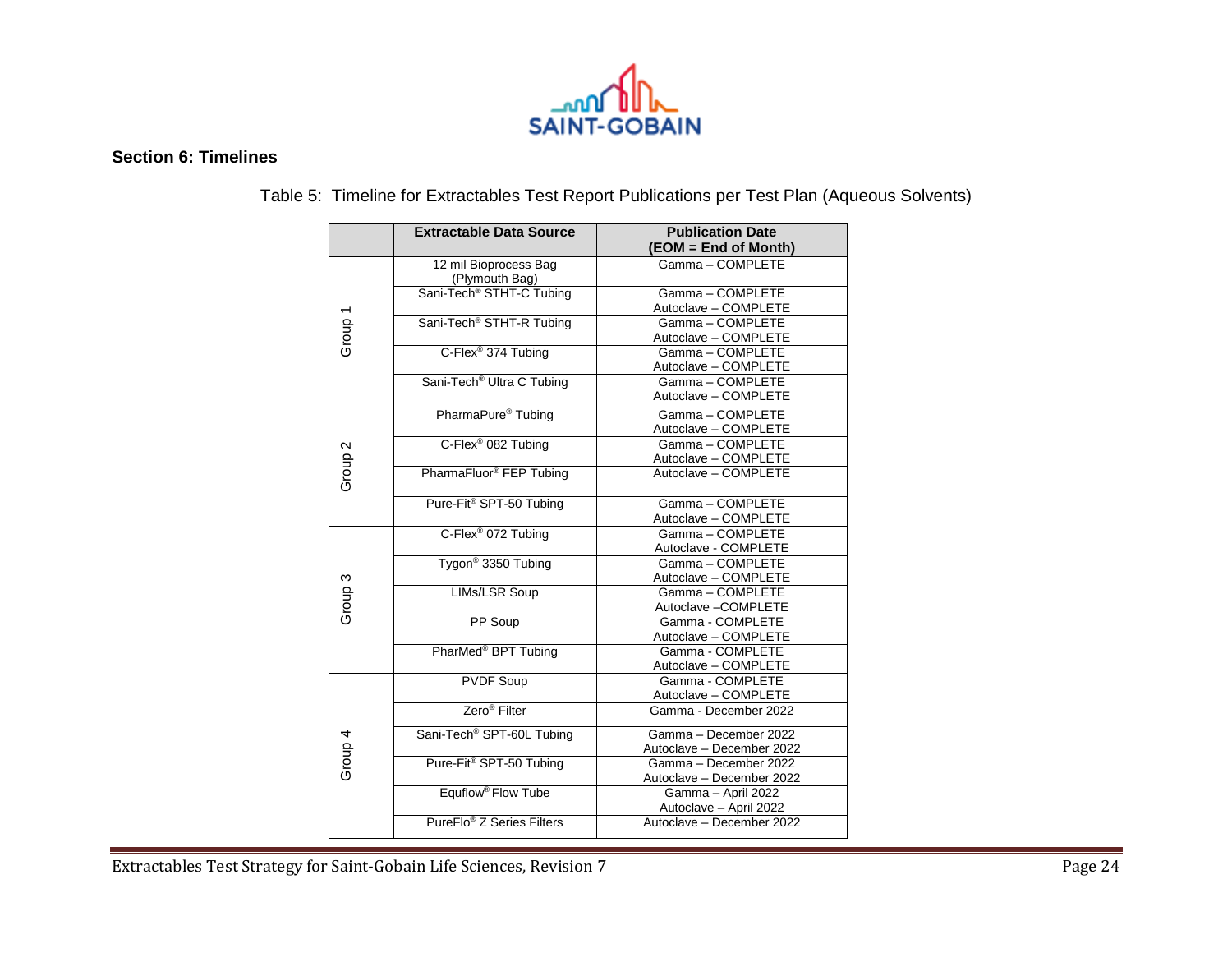

## **Section 6: Timelines**

|                    | <b>Extractable Data Source</b>          | <b>Publication Date</b><br>(EOM = End of Month)    |
|--------------------|-----------------------------------------|----------------------------------------------------|
|                    | 12 mil Bioprocess Bag<br>(Plymouth Bag) | Gamma - COMPLETE                                   |
| Group <sub>1</sub> | Sani-Tech <sup>®</sup> STHT-C Tubing    | Gamma-COMPLETE<br>Autoclave - COMPLETE             |
|                    | Sani-Tech <sup>®</sup> STHT-R Tubing    | Gamma-COMPLETE<br>Autoclave - COMPLETE             |
|                    | C-Flex <sup>®</sup> 374 Tubing          | Gamma - COMPLETE<br>Autoclave - COMPLETE           |
|                    | Sani-Tech <sup>®</sup> Ultra C Tubing   | Gamma - COMPLETE<br>Autoclave - COMPLETE           |
|                    | PharmaPure <sup>®</sup> Tubing          | Gamma - COMPLETE<br>Autoclave - COMPLETE           |
| Group <sub>2</sub> | C-Flex <sup>®</sup> 082 Tubing          | Gamma - COMPLETE<br>Autoclave - COMPLETE           |
|                    | PharmaFluor <sup>®</sup> FEP Tubing     | Autoclave - COMPLETE                               |
|                    | Pure-Fit <sup>®</sup> SPT-50 Tubing     | Gamma-COMPLETE<br>Autoclave - COMPLETE             |
|                    | C-Flex <sup>®</sup> 072 Tubing          | Gamma - COMPLETE<br>Autoclave - COMPLETE           |
|                    | Tygon <sup>®</sup> 3350 Tubing          | Gamma - COMPLETE<br>Autoclave - COMPLETE           |
| Group <sub>3</sub> | LIMs/LSR Soup                           | Gamma - COMPLETE<br>Autoclave - COMPLETE           |
|                    | PP Soup                                 | Gamma - COMPLETE<br>Autoclave - COMPLETE           |
|                    | PharMed <sup>®</sup> BPT Tubing         | Gamma - COMPLETE<br>Autoclave - COMPLETE           |
|                    | <b>PVDF Soup</b>                        | Gamma - COMPLETE<br>Autoclave - COMPLETE           |
|                    | Zero <sup>®</sup> Filter                | Gamma - December 2022                              |
| Group 4            | Sani-Tech <sup>®</sup> SPT-60L Tubing   | Gamma - December 2022<br>Autoclave - December 2022 |
|                    | Pure-Fit <sup>®</sup> SPT-50 Tubing     | Gamma - December 2022<br>Autoclave - December 2022 |
|                    | Equflow <sup>®</sup> Flow Tube          | Gamma - April 2022<br>Autoclave - April 2022       |
|                    | PureFlo <sup>®</sup> Z Series Filters   | Autoclave - December 2022                          |

Table 5: Timeline for Extractables Test Report Publications per Test Plan (Aqueous Solvents)

Extractables Test Strategy for Saint-Gobain Life Sciences, Revision 7 Page 24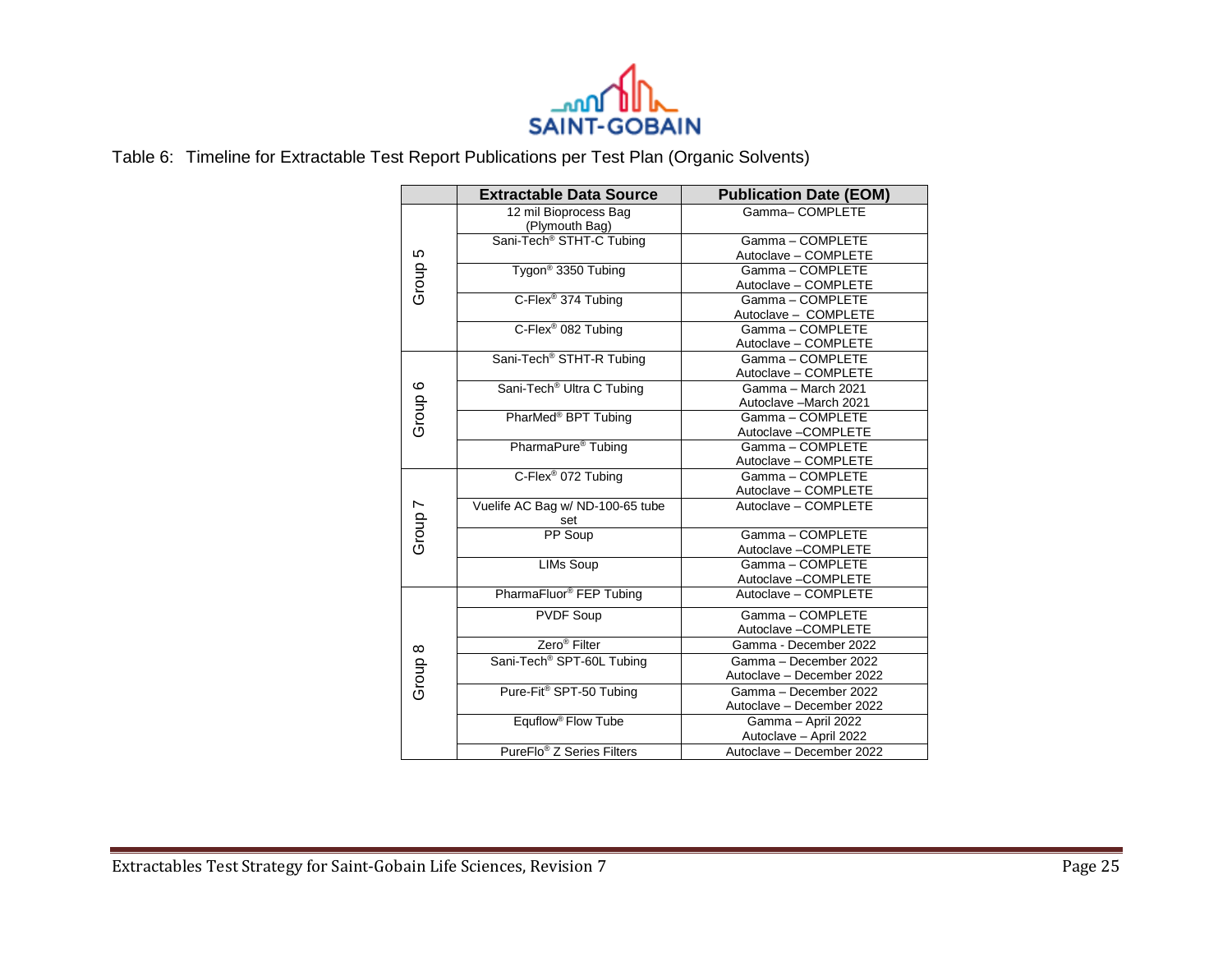

Table 6: Timeline for Extractable Test Report Publications per Test Plan (Organic Solvents)

|         | <b>Extractable Data Source</b>          | <b>Publication Date (EOM)</b>                      |
|---------|-----------------------------------------|----------------------------------------------------|
|         | 12 mil Bioprocess Bag<br>(Plymouth Bag) | Gamma-COMPLETE                                     |
| Group 5 | Sani-Tech <sup>®</sup> STHT-C Tubing    | Gamma-COMPLETE<br>Autoclave - COMPLETE             |
|         | Tygon <sup>®</sup> 3350 Tubing          | Gamma - COMPLETE<br>Autoclave - COMPLETE           |
|         | C-Flex <sup>®</sup> 374 Tubing          | Gamma - COMPLETE<br>Autoclave - COMPLETE           |
|         | C-Flex <sup>®</sup> 082 Tubing          | Gamma-COMPLETE<br>Autoclave - COMPLETE             |
|         | Sani-Tech <sup>®</sup> STHT-R Tubing    | Gamma - COMPLETE<br>Autoclave - COMPLETE           |
|         | Sani-Tech <sup>®</sup> Ultra C Tubing   | Gamma - March 2021<br>Autoclave - March 2021       |
| Group 6 | PharMed <sup>®</sup> BPT Tubing         | Gamma - COMPLETE<br>Autoclave -COMPLETE            |
|         | PharmaPure <sup>®</sup> Tubing          | Gamma-COMPLETE<br>Autoclave - COMPLETE             |
|         | C-Flex <sup>®</sup> 072 Tubing          | Gamma - COMPLETE<br>Autoclave - COMPLETE           |
|         | Vuelife AC Bag w/ ND-100-65 tube<br>set | Autoclave - COMPLETE                               |
| Group 7 | PP Soup                                 | Gamma - COMPLETE<br>Autoclave -COMPLETE            |
|         | <b>LIMs Soup</b>                        | Gamma-COMPLETE<br>Autoclave-COMPLETE               |
|         | PharmaFluor <sup>®</sup> FEP Tubing     | Autoclave - COMPLETE                               |
|         | <b>PVDF Soup</b>                        | Gamma - COMPLETE<br>Autoclave -COMPLETE            |
|         | Zero <sup>®</sup> Filter                | Gamma - December 2022                              |
| Group 8 | Sani-Tech <sup>®</sup> SPT-60L Tubing   | Gamma - December 2022<br>Autoclave - December 2022 |
|         | Pure-Fit <sup>®</sup> SPT-50 Tubing     | Gamma - December 2022<br>Autoclave - December 2022 |
|         | Equflow <sup>®</sup> Flow Tube          | Gamma - April 2022<br>Autoclave - April 2022       |
|         | PureFlo <sup>®</sup> Z Series Filters   | Autoclave - December 2022                          |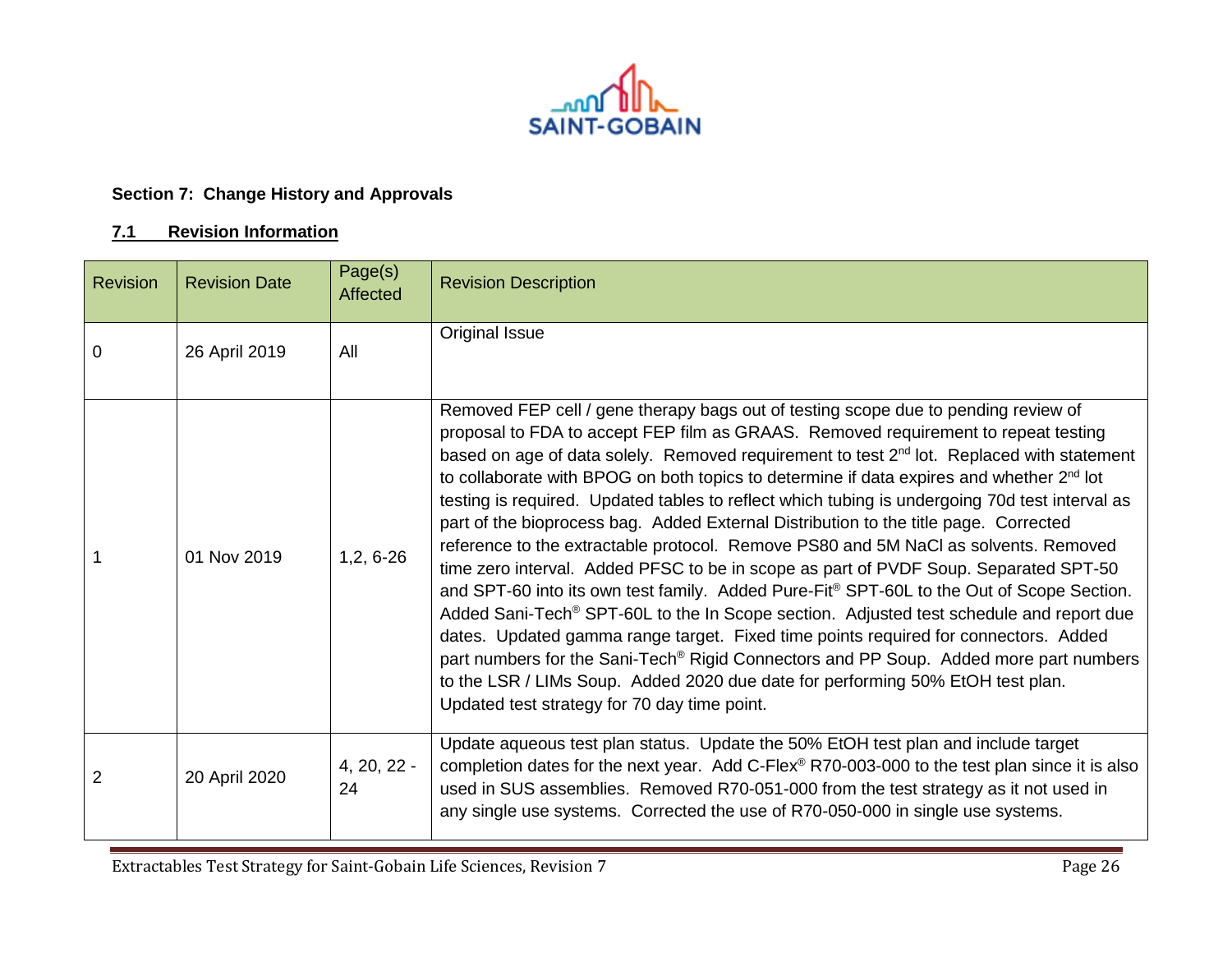

# **Section 7: Change History and Approvals**

## **7.1 Revision Information**

| <b>Revision</b> | <b>Revision Date</b> | Page(s)<br>Affected | <b>Revision Description</b>                                                                                                                                                                                                                                                                                                                                                                                                                                                                                                                                                                                                                                                                                                                                                                                                                                                                                                                                                                                                                                                                                                                                                                                                                                                                          |
|-----------------|----------------------|---------------------|------------------------------------------------------------------------------------------------------------------------------------------------------------------------------------------------------------------------------------------------------------------------------------------------------------------------------------------------------------------------------------------------------------------------------------------------------------------------------------------------------------------------------------------------------------------------------------------------------------------------------------------------------------------------------------------------------------------------------------------------------------------------------------------------------------------------------------------------------------------------------------------------------------------------------------------------------------------------------------------------------------------------------------------------------------------------------------------------------------------------------------------------------------------------------------------------------------------------------------------------------------------------------------------------------|
| 0               | 26 April 2019        | All                 | Original Issue                                                                                                                                                                                                                                                                                                                                                                                                                                                                                                                                                                                                                                                                                                                                                                                                                                                                                                                                                                                                                                                                                                                                                                                                                                                                                       |
|                 | 01 Nov 2019          | $1,2,6-26$          | Removed FEP cell / gene therapy bags out of testing scope due to pending review of<br>proposal to FDA to accept FEP film as GRAAS. Removed requirement to repeat testing<br>based on age of data solely. Removed requirement to test 2 <sup>nd</sup> lot. Replaced with statement<br>to collaborate with BPOG on both topics to determine if data expires and whether 2 <sup>nd</sup> lot<br>testing is required. Updated tables to reflect which tubing is undergoing 70d test interval as<br>part of the bioprocess bag. Added External Distribution to the title page. Corrected<br>reference to the extractable protocol. Remove PS80 and 5M NaCl as solvents. Removed<br>time zero interval. Added PFSC to be in scope as part of PVDF Soup. Separated SPT-50<br>and SPT-60 into its own test family. Added Pure-Fit® SPT-60L to the Out of Scope Section.<br>Added Sani-Tech <sup>®</sup> SPT-60L to the In Scope section. Adjusted test schedule and report due<br>dates. Updated gamma range target. Fixed time points required for connectors. Added<br>part numbers for the Sani-Tech <sup>®</sup> Rigid Connectors and PP Soup. Added more part numbers<br>to the LSR / LIMs Soup. Added 2020 due date for performing 50% EtOH test plan.<br>Updated test strategy for 70 day time point. |
| 2               | 20 April 2020        | $4, 20, 22 -$<br>24 | Update aqueous test plan status. Update the 50% EtOH test plan and include target<br>completion dates for the next year. Add C-Flex® R70-003-000 to the test plan since it is also<br>used in SUS assemblies. Removed R70-051-000 from the test strategy as it not used in<br>any single use systems. Corrected the use of R70-050-000 in single use systems.                                                                                                                                                                                                                                                                                                                                                                                                                                                                                                                                                                                                                                                                                                                                                                                                                                                                                                                                        |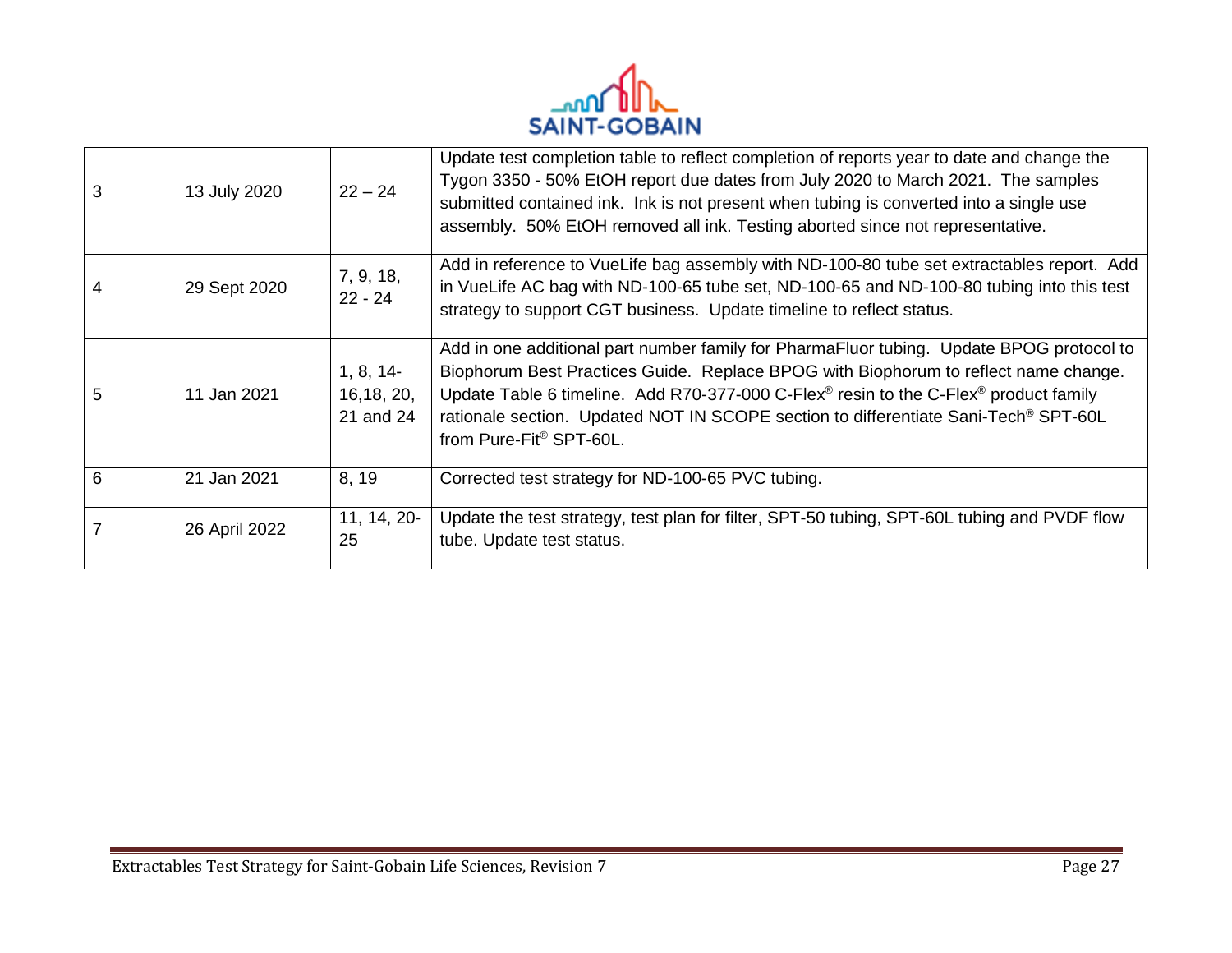

| 3 | 13 July 2020  | $22 - 24$                            | Update test completion table to reflect completion of reports year to date and change the<br>Tygon 3350 - 50% EtOH report due dates from July 2020 to March 2021. The samples<br>submitted contained ink. Ink is not present when tubing is converted into a single use<br>assembly. 50% EtOH removed all ink. Testing aborted since not representative.                                                                      |
|---|---------------|--------------------------------------|-------------------------------------------------------------------------------------------------------------------------------------------------------------------------------------------------------------------------------------------------------------------------------------------------------------------------------------------------------------------------------------------------------------------------------|
| 4 | 29 Sept 2020  | 7, 9, 18,<br>$22 - 24$               | Add in reference to VueLife bag assembly with ND-100-80 tube set extractables report. Add<br>in VueLife AC bag with ND-100-65 tube set, ND-100-65 and ND-100-80 tubing into this test<br>strategy to support CGT business. Update timeline to reflect status.                                                                                                                                                                 |
| 5 | 11 Jan 2021   | 1, 8, 14<br>16, 18, 20,<br>21 and 24 | Add in one additional part number family for PharmaFluor tubing. Update BPOG protocol to<br>Biophorum Best Practices Guide. Replace BPOG with Biophorum to reflect name change.<br>Update Table 6 timeline. Add R70-377-000 C-Flex <sup>®</sup> resin to the C-Flex <sup>®</sup> product family<br>rationale section. Updated NOT IN SCOPE section to differentiate Sani-Tech <sup>®</sup> SPT-60L<br>from Pure-Fit® SPT-60L. |
| 6 | 21 Jan 2021   | 8, 19                                | Corrected test strategy for ND-100-65 PVC tubing.                                                                                                                                                                                                                                                                                                                                                                             |
|   | 26 April 2022 | $11, 14, 20-$<br>25                  | Update the test strategy, test plan for filter, SPT-50 tubing, SPT-60L tubing and PVDF flow<br>tube. Update test status.                                                                                                                                                                                                                                                                                                      |